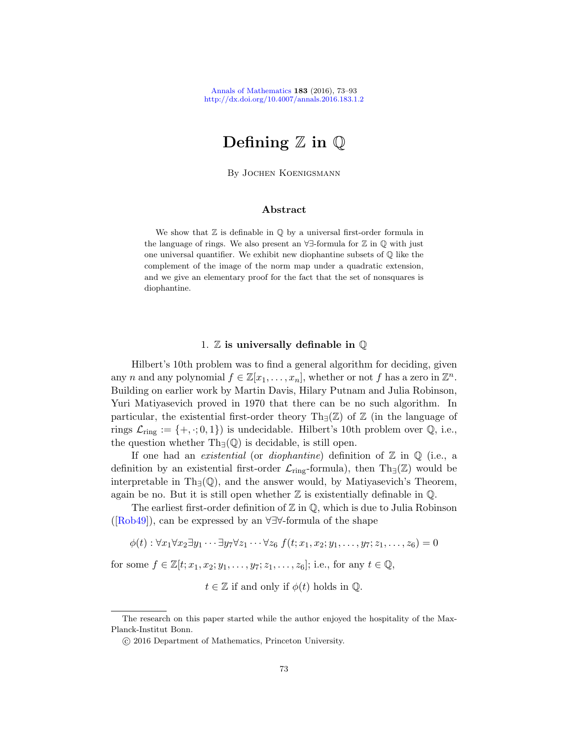# Defining  $\mathbb Z$  in  $\mathbb Q$

By Jochen Koenigsmann

# Abstract

We show that  $\mathbb Z$  is definable in  $\mathbb Q$  by a universal first-order formula in the language of rings. We also present an ∀∃-formula for Z in Q with just one universal quantifier. We exhibit new diophantine subsets of Q like the complement of the image of the norm map under a quadratic extension, and we give an elementary proof for the fact that the set of nonsquares is diophantine.

# 1.  $\mathbb Z$  is universally definable in  $\mathbb Q$

Hilbert's 10th problem was to find a general algorithm for deciding, given any n and any polynomial  $f \in \mathbb{Z}[x_1,\ldots,x_n]$ , whether or not f has a zero in  $\mathbb{Z}^n$ . Building on earlier work by Martin Davis, Hilary Putnam and Julia Robinson, Yuri Matiyasevich proved in 1970 that there can be no such algorithm. In particular, the existential first-order theory Th $\nexists$ ( $\mathbb{Z}$ ) of  $\mathbb{Z}$  (in the language of rings  $\mathcal{L}_{\text{ring}} := \{+, \cdot; 0, 1\}$  is undecidable. Hilbert's 10th problem over  $\mathbb{Q}$ , i.e., the question whether  $Th<sub>∃</sub>( $Q$ )$  is decidable, is still open.

If one had an *existential* (or *diophantine*) definition of  $\mathbb{Z}$  in  $\mathbb{Q}$  (i.e., a definition by an existential first-order  $\mathcal{L}_{\text{ring}}$ -formula), then Th<sub>∃</sub>( $\mathbb{Z}$ ) would be interpretable in Th<sub>∃</sub>( $\mathbb{Q}$ ), and the answer would, by Matiyasevich's Theorem, again be no. But it is still open whether  $\mathbb Z$  is existentially definable in  $\mathbb Q$ .

The earliest first-order definition of  $\mathbb Z$  in  $\mathbb Q$ , which is due to Julia Robinson  $([Rob49])$ , can be expressed by an ∀∃∀-formula of the shape

$$
\phi(t): \forall x_1 \forall x_2 \exists y_1 \cdots \exists y_7 \forall z_1 \cdots \forall z_6 \ f(t; x_1, x_2; y_1, \ldots, y_7; z_1, \ldots, z_6) = 0
$$

for some  $f \in \mathbb{Z}[t; x_1, x_2; y_1, \ldots, y_7; z_1, \ldots, z_6];$  i.e., for any  $t \in \mathbb{Q}$ ,

 $t \in \mathbb{Z}$  if and only if  $\phi(t)$  holds in  $\mathbb{Q}$ .

The research on this paper started while the author enjoyed the hospitality of the Max-Planck-Institut Bonn.

c 2016 Department of Mathematics, Princeton University.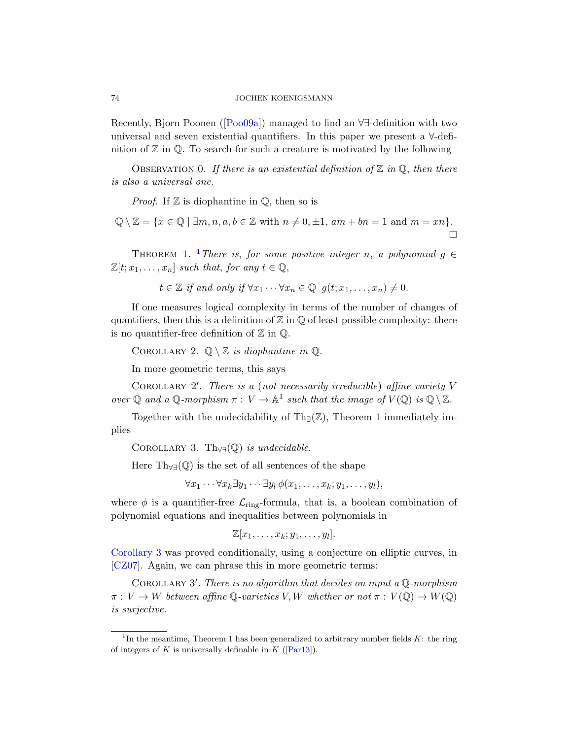## 74 JOCHEN KOENIGSMANN

Recently, Bjorn Poonen ([Poo09a]) managed to find an ∀∃-definition with two universal and seven existential quantifiers. In this paper we present a ∀-definition of  $\mathbb Z$  in  $\mathbb Q$ . To search for such a creature is motivated by the following

OBSERVATION 0. If there is an existential definition of  $\mathbb Z$  in  $\mathbb Q$ , then there is also a universal one.

*Proof.* If  $\mathbb Z$  is diophantine in  $\mathbb Q$ , then so is

$$
\mathbb{Q} \setminus \mathbb{Z} = \{ x \in \mathbb{Q} \mid \exists m, n, a, b \in \mathbb{Z} \text{ with } n \neq 0, \pm 1, am + bn = 1 \text{ and } m = xn \}.
$$

THEOREM 1. <sup>1</sup>There is, for some positive integer n, a polynomial  $q \in$  $\mathbb{Z}[t; x_1, \ldots, x_n]$  such that, for any  $t \in \mathbb{Q}$ ,

 $t \in \mathbb{Z}$  if and only if  $\forall x_1 \cdots \forall x_n \in \mathbb{Q}$   $g(t; x_1, \ldots, x_n) \neq 0$ .

If one measures logical complexity in terms of the number of changes of quantifiers, then this is a definition of  $\mathbb Z$  in  $\mathbb Q$  of least possible complexity: there is no quantifier-free definition of  $\mathbb Z$  in  $\mathbb Q$ .

COROLLARY 2.  $\mathbb{Q} \setminus \mathbb{Z}$  is diophantine in  $\mathbb{Q}$ .

In more geometric terms, this says

COROLLARY 2'. There is a (not necessarily irreducible) affine variety  $V$ over  $\mathbb Q$  and a  $\mathbb Q$ -morphism  $\pi: V \to \mathbb A^1$  such that the image of  $V(\mathbb Q)$  is  $\mathbb Q \setminus \mathbb Z$ .

Together with the undecidability of Th $_{\exists}(\mathbb{Z})$ , Theorem 1 immediately implies

COROLLARY 3. Th $_{\forall\exists}(\mathbb{Q})$  is undecidable.

Here  $Th_{\forall}\infty$  is the set of all sentences of the shape

 $\forall x_1 \cdots \forall x_k \exists y_1 \cdots \exists y_l \phi(x_1, \ldots, x_k; y_1, \ldots, y_l),$ 

where  $\phi$  is a quantifier-free  $\mathcal{L}_{\text{ring}}$ -formula, that is, a boolean combination of polynomial equations and inequalities between polynomials in

 $\mathbb{Z}[x_1,\ldots,x_k;y_1,\ldots,y_l].$ 

Corollary 3 was proved conditionally, using a conjecture on elliptic curves, in [CZ07]. Again, [we can](#page-20-0) phrase this in more geometric terms:

COROLLARY  $3'$ . There is no algorithm that decides on input a  $\mathbb Q$ -morphism  $\pi: V \to W$  between affine  $\mathbb{Q}$ -varieties V, W whether or not  $\pi: V(\mathbb{Q}) \to W(\mathbb{Q})$ is surjective.

<sup>&</sup>lt;sup>1</sup>In the meantime, Theorem 1 has been generalized to arbitrary number fields  $K$ : the ring of integers of K is universally definable in K ( $\text{[Par13]}$ ).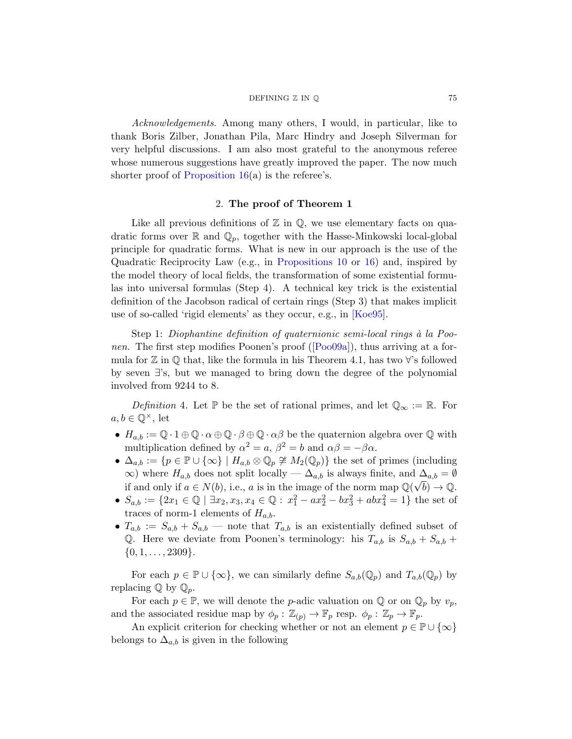#### $DEFINING \nZ IN \nQ$  75

<span id="page-2-1"></span>Acknowledgements. Among many others, I would, in particular, like to thank Boris Zilber, Jonathan Pila, Marc Hindry and Joseph Silverman for very helpful discussions. I am also most grateful to the anonymous referee whose numerous suggestions have greatly improved the paper. The now much shorter proof of Proposition  $16(a)$  is the referee's.

### 2. The proof of Theorem 1

Like all previous definitions of  $\mathbb{Z}$  in  $\mathbb{Q}$ , we use elementary facts on quadratic forms over  $\mathbb R$  and  $\mathbb Q_p$ , t[ogether](#page-20-1) with the Hasse-Minkowski local-global principle for quadratic forms. What is new in our approach is the use of the Quadratic Reciprocity [Law \(e](#page-20-2).g., in Propositions 10 or 16) and, inspired by the model theory of local fields, the transformation of some existential formulas into universal formulas (Step 4). A technical key trick is the existential definition of the Jacobson radical of certain rings (Step 3) that makes implicit use of so-called 'rigid elements' as they occur, e.g., in [Koe95].

<span id="page-2-0"></span>Step 1: Diophantine definition of quaternionic semi-local rings à la Poonen. The first step modifies Poonen's proof ([Poo09a]), thus arriving at a formula for  $\mathbb Z$  in  $\mathbb Q$  that, like the formula in his Theorem 4.1, has two  $\forall$ 's followed by seven ∃'s, but we managed to bring down the degree of the polynomial involved from 9244 to 8.

Definition 4. Let  $\mathbb P$  be the set of rational primes, and let  $\mathbb Q_\infty := \mathbb R$ . For  $a, b \in \mathbb{Q}^{\times}$ , let

- $H_{a,b} := \mathbb{Q} \cdot 1 \oplus \mathbb{Q} \cdot \alpha \oplus \mathbb{Q} \cdot \beta \oplus \mathbb{Q} \cdot \alpha \beta$  be the quaternion algebra over  $\mathbb Q$  with multiplication defined by  $\alpha^2 = a$ ,  $\beta^2 = b$  and  $\alpha\beta = -\beta\alpha$ .
- $\Delta_{a,b} := \{p \in \mathbb{P} \cup \{\infty\} \mid H_{a,b} \otimes \mathbb{Q}_p \not\cong M_2(\mathbb{Q}_p)\}\$  the set of primes (including  $\infty$ ) where  $H_{a,b}$  does not split locally —  $\Delta_{a,b}$  is always finite, and  $\Delta_{a,b} = \emptyset$ if and only if  $a \in N(b)$ , i.e., a is in the image of the norm map  $\mathbb{Q}(\sqrt{b}) \to \mathbb{Q}$ .
- $S_{a,b} := \{2x_1 \in \mathbb{Q} \mid \exists x_2, x_3, x_4 \in \mathbb{Q} : x_1^2 ax_2^2 bx_3^2 + abx_4^2 = 1\}$  the set of traces of norm-1 elements of  $H_{a,b}$ .
- $T_{a,b} := S_{a,b} + S_{a,b}$  note that  $T_{a,b}$  is an existentially defined subset of Q. Here we deviate from Poonen's terminology: his  $T_{a,b}$  is  $S_{a,b} + S_{a,b} +$  $\{0, 1, \ldots, 2309\}.$

For each  $p \in \mathbb{P} \cup \{\infty\}$ , we can similarly define  $S_{a,b}(\mathbb{Q}_p)$  and  $T_{a,b}(\mathbb{Q}_p)$  by replacing  $\mathbb Q$  by  $\mathbb Q_p$ .

For each  $p \in \mathbb{P}$ , we will denote the *p*-adic valuation on  $\mathbb{Q}$  or on  $\mathbb{Q}_p$  by  $v_p$ , and the associated residue map by  $\phi_p : \mathbb{Z}_{(p)} \to \mathbb{F}_p$  resp.  $\phi_p : \mathbb{Z}_p \to \mathbb{F}_p$ .

An explicit criterion for checking whether or not an element  $p \in \mathbb{P} \cup \{\infty\}$ belongs to  $\Delta_{a,b}$  is given in the following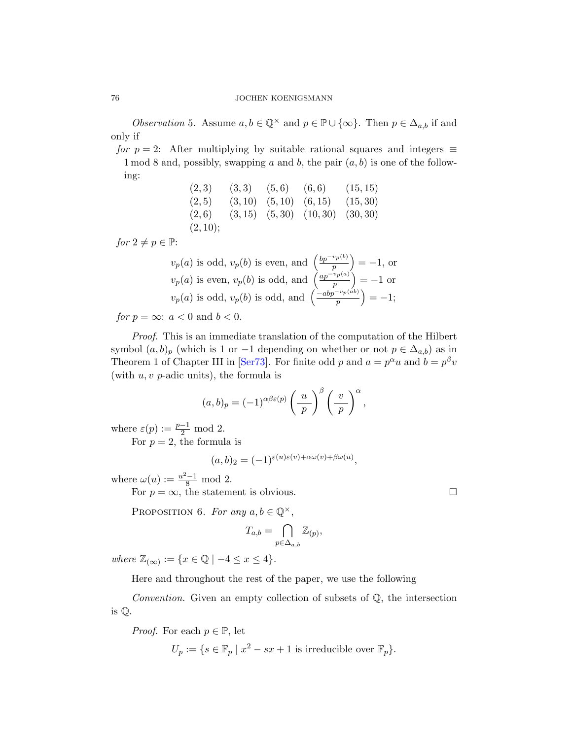*Observation* 5. Assume  $a, b \in \mathbb{Q}^{\times}$  and  $p \in \mathbb{P} \cup \{\infty\}$ . Then  $p \in \Delta_{a,b}$  if and only if

for  $p = 2$ : After multiplying by suitable rational squares and integers  $\equiv$ 1 mod 8 and, possibly, swapping a and b, the pair  $(a, b)$  is one of the following:

$$
\begin{array}{cccccc}\n(2,3) & (3,3) & (5,6) & (6,6) & (15,15) \\
(2,5) & (3,10) & (5,10) & (6,15) & (15,30) \\
(2,6) & (3,15) & (5,30) & (10,30) & (30,30) \\
(2,10);\n\end{array}
$$

for  $2 \neq p \in \mathbb{P}$ :

$$
v_p(a)
$$
 is odd,  $v_p(b)$  is even, and  $\left(\frac{bp^{-v_p(b)}}{p}\right) = -1$ , or  
\n $v_p(a)$  is even,  $v_p(b)$  is odd, and  $\left(\frac{ap^{-v_p(a)}}{p}\right) = -1$  or  
\n $v_p(a)$  is odd,  $v_p(b)$  is odd, and  $\left(\frac{-abp^{-v_p(ab)}}{p}\right) = -1$ ;

for  $p = \infty$ :  $a < 0$  and  $b < 0$ .

Proof. This is an immediate translation of the computation of the Hilbert symbol  $(a, b)_p$  (which is 1 or -1 depending on whether or not  $p \in \Delta_{a,b}$ ) as in Theorem 1 of Chapter III in [Ser73]. For finite odd p and  $a = p^{\alpha}u$  and  $b = p^{\beta}v$ (with  $u, v$  p-adic units), the formula is

$$
(a,b)_p = (-1)^{\alpha\beta\varepsilon(p)} \left(\frac{u}{p}\right)^{\beta} \left(\frac{v}{p}\right)^{\alpha},
$$

<span id="page-3-1"></span>where  $\varepsilon(p) := \frac{p-1}{2} \text{ mod } 2$ .

For  $p = 2$ , the formula is

 $(a, b)_2 = (-1)^{\varepsilon(u)\varepsilon(v) + \alpha \omega(v) + \beta \omega(u)},$ 

where  $\omega(u) := \frac{u^2 - 1}{8} \mod 2$ .

For  $p = \infty$ , the statement is obvious.

PROPOSITION 6. For any  $a, b \in \mathbb{Q}^{\times}$ ,

$$
T_{a,b} = \bigcap_{p \in \Delta_{a,b}} \mathbb{Z}_{(p)},
$$

where  $\mathbb{Z}_{(\infty)} := \{x \in \mathbb{Q} \mid -4 \leq x \leq 4\}.$ 

Here and throughout the rest of the paper, we use the following

Convention. Given an empty collection of subsets of Q, the intersection is Q.

*Proof.* For each  $p \in \mathbb{P}$ , let

$$
U_p := \{ s \in \mathbb{F}_p \mid x^2 - sx + 1 \text{ is irreducible over } \mathbb{F}_p \}.
$$

<span id="page-3-0"></span>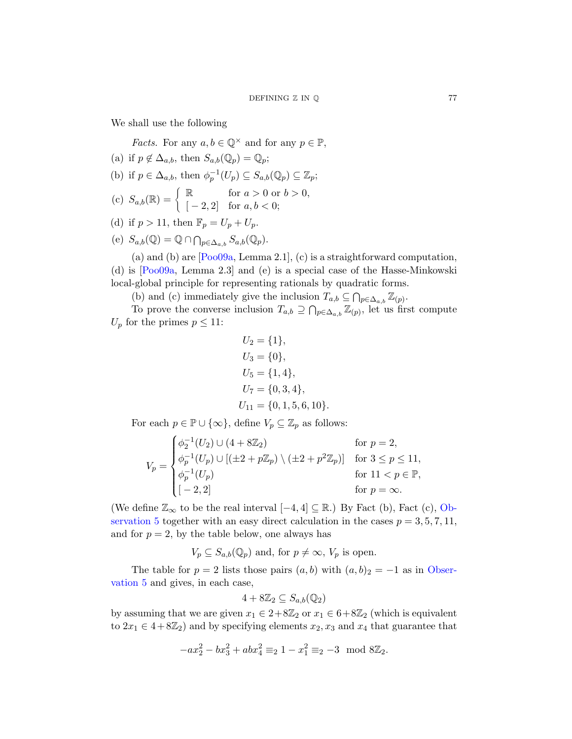We shall use the following

*Facts*. For any  $a, b \in \mathbb{Q}^{\times}$  and for any  $p \in \mathbb{P}$ ,

- (a) if  $p \notin \Delta_{a,b}$ , then  $S_{a,b}(\mathbb{Q}_p) = \mathbb{Q}_p$ ;
- [\(b\)](#page-20-2) if  $p \in \Delta_{a,b}$ , then  $\phi_p^{-1}(U_p) \subseteq S_{a,b}(\mathbb{Q}_p) \subseteq \mathbb{Z}_p$ ;
- (c)  $S_{a,b}(\mathbb{R}) = \begin{cases} \mathbb{R} & \text{for } a > 0 \text{ or } b > 0, \\ 0 & \text{otherwise} \end{cases}$  $[-2, 2]$  for  $a, b < 0$ ;
- (d) if  $p > 11$ , then  $\mathbb{F}_p = U_p + U_p$ .
- (e)  $S_{a,b}(\mathbb{Q}) = \mathbb{Q} \cap \bigcap_{p \in \Delta_{a,b}} S_{a,b}(\mathbb{Q}_p).$

(a) and (b) are [Poo09a, Lemma 2.1], (c) is a straightforward computation, (d) is [Poo09a, Lemma 2.3] and (e) is a special case of the Hasse-Minkowski local-global principle for representing rationals by quadratic forms.

(b) and (c) immediately give the inclusion  $T_{a,b} \subseteq \bigcap_{p \in \Delta_{a,b}} \mathbb{Z}_{(p)}$ .

To prove the converse inclusion  $T_{a,b} \supseteq \bigcap_{p \in \Delta_{a,b}} \mathbb{Z}_{(p)}$ , let us first compute  $U_p$  for the primes  $p \leq 11$ :

$$
U_2 = \{1\},
$$
  
\n
$$
U_3 = \{0\},
$$
  
\n
$$
U_5 = \{1, 4\},
$$
  
\n
$$
U_7 = \{0, 3, 4\},
$$
  
\n
$$
U_{11} = \{0, 1, 5, 6, 10\}.
$$

For each  $p \in \mathbb{P} \cup \{\infty\}$ , define  $V_p \subseteq \mathbb{Z}_p$  as follo[ws:](#page-3-0)

$$
V_p = \begin{cases} \phi_2^{-1}(U_2) \cup (4 + 8\mathbb{Z}_2) & \text{for } p = 2, \\ \phi_p^{-1}(U_p) \cup [(\pm 2 + p\mathbb{Z}_p) \setminus (\pm 2 + p^2\mathbb{Z}_p)] & \text{for } 3 \le p \le 11, \\ \phi_p^{-1}(U_p) & \text{for } 11 < p \in \mathbb{P}, \\ [-2, 2] & \text{for } p = \infty. \end{cases}
$$

(We define  $\mathbb{Z}_{\infty}$  to be the real interval  $[-4, 4] \subseteq \mathbb{R}$ .) By Fact (b), Fact (c), Observation 5 together with an easy direct calculation in the cases  $p = 3, 5, 7, 11$ , and for  $p = 2$ , by the table below, one always has

 $V_p \subseteq S_{a,b}(\mathbb{Q}_p)$  and, for  $p \neq \infty$ ,  $V_p$  is open.

The table for  $p = 2$  lists those pairs  $(a, b)$  with  $(a, b)_2 = -1$  as in Observation 5 and gives, in each case,

$$
4 + 8\mathbb{Z}_2 \subseteq S_{a,b}(\mathbb{Q}_2)
$$

by assuming that we are given  $x_1 \in 2+8\mathbb{Z}_2$  or  $x_1 \in 6+8\mathbb{Z}_2$  (which is equivalent to  $2x_1 \in 4+8\mathbb{Z}_2$  and by specifying elements  $x_2, x_3$  and  $x_4$  that guarantee that

$$
-ax_2^2 - bx_3^2 + abx_4^2 \equiv_2 1 - x_1^2 \equiv_2 -3 \mod 8\mathbb{Z}_2.
$$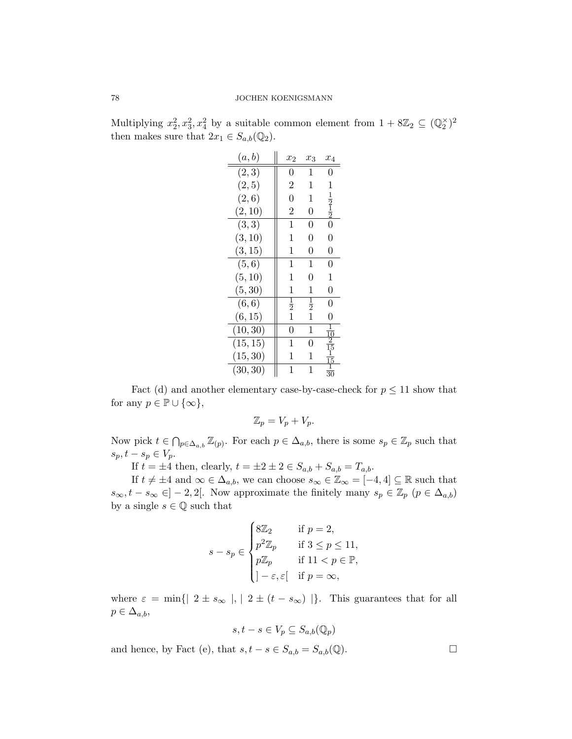Multiplying  $x_2^2, x_3^2, x_4^2$  by a suitable common element from  $1 + 8\mathbb{Z}_2 \subseteq (\mathbb{Q}_2^{\times})^2$ then makes sure that  $2x_1 \in S_{a,b}(\mathbb{Q}_2)$ .

| (a,b)    | $x_2$          | $x_3$          | $x_4$                                     |
|----------|----------------|----------------|-------------------------------------------|
| (2, 3)   | 0              | 1              | 0                                         |
| (2, 5)   | $\overline{2}$ | 1              | $\mathbf 1$                               |
| (2,6)    | $\overline{0}$ | 1              |                                           |
| (2, 10)  | $\overline{2}$ | $\overline{0}$ | $\frac{1}{2}$ $\frac{1}{2}$ $\frac{1}{2}$ |
| (3, 3)   | 1              | 0              |                                           |
| (3, 10)  | 1              | $\overline{0}$ | $\overline{0}$                            |
| (3, 15)  | 1              | 0              | 0                                         |
| (5, 6)   | 1              | 1              | 0                                         |
| (5, 10)  | 1              | 0              | 1                                         |
| (5, 30)  | 1              | 1              | 0                                         |
| (6, 6)   | $\frac{1}{2}$  | $\frac{1}{2}$  | 0                                         |
| (6, 15)  | $\overline{1}$ | $\mathbf 1$    | 0                                         |
| (10, 30) | 0              | 1              |                                           |
| (15, 15) | 1              | 0              | $rac{1}{10}$<br>$rac{1}{15}$              |
| (15, 30) | 1              | 1              | $\frac{1}{15}$                            |
| (30, 30) | 1              | 1              | $\overline{30}$                           |

Fact (d) and another elementary case-by-case-check for  $p \leq 11$  show that for any  $p \in \mathbb{P} \cup \{\infty\},\$ 

$$
\mathbb{Z}_p = V_p + V_p.
$$

Now pick  $t \in \bigcap_{p \in \Delta_{a,b}} \mathbb{Z}_{(p)}$ . For each  $p \in \Delta_{a,b}$ , there is some  $s_p \in \mathbb{Z}_p$  such that  $s_p, t - s_p \in V_p$ .

If  $t = \pm 4$  then, clearly,  $t = \pm 2 \pm 2 \in S_{a,b} + S_{a,b} = T_{a,b}$ .

If  $t \neq \pm 4$  and  $\infty \in \Delta_{a,b}$ , we can choose  $s_{\infty} \in \mathbb{Z}_{\infty} = [-4, 4] \subseteq \mathbb{R}$  such that  $s_{\infty}, t - s_{\infty} \in ]-2, 2[$ . Now approximate the finitely many  $s_p \in \mathbb{Z}_p$   $(p \in \Delta_{a,b})$ by a single  $s \in \mathbb{Q}$  such that

$$
s - s_p \in \begin{cases} 8\mathbb{Z}_2 & \text{if } p = 2, \\ p^2 \mathbb{Z}_p & \text{if } 3 \le p \le 11, \\ p\mathbb{Z}_p & \text{if } 11 < p \in \mathbb{P}, \\ |-\varepsilon, \varepsilon| & \text{if } p = \infty, \end{cases}
$$

where  $\varepsilon = \min\{|2 \pm s_{\infty}|, |2 \pm (t - s_{\infty})|\}.$  This guarantees that for all  $p \in \Delta_{a,b},$ 

$$
s, t - s \in V_p \subseteq S_{a,b}(\mathbb{Q}_p)
$$

and hence, by Fact (e), that  $s, t - s \in S_{a,b} = S_{a,b}(\mathbb{Q})$ .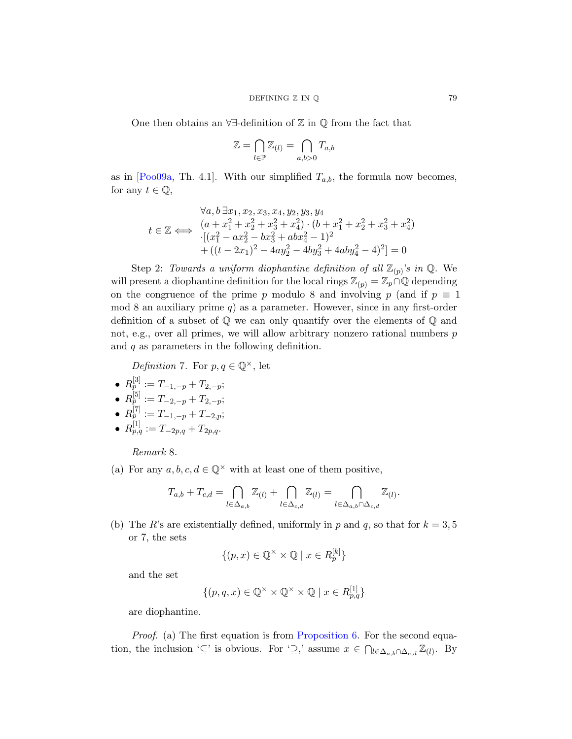One then obtains an ∀∃-definition of Z in Q from the fact that

$$
\mathbb{Z} = \bigcap_{l \in \mathbb{P}} \mathbb{Z}_{(l)} = \bigcap_{a,b > 0} T_{a,b}
$$

as in [Poo09a, Th. 4.1]. With our simplified  $T_{a,b}$ , the formula now becomes, for any  $t \in \mathbb{Q}$ ,

$$
\forall a, b \exists x_1, x_2, x_3, x_4, y_2, y_3, y_4
$$
  
\n
$$
t \in \mathbb{Z} \iff \begin{array}{c} (a+x_1^2+x_2^2+x_3^2+x_4^2) \cdot (b+x_1^2+x_2^2+x_3^2+x_4^2) \\ \cdot [(x_1^2-ax_2^2-bx_3^2+abx_4^2-1)^2] \\ \quad + ((t-2x_1)^2-4ay_2^2-4by_3^2+4aby_4^2-4)^2] = 0 \end{array}
$$

<span id="page-6-0"></span>Step 2: Towards a uniform diophantine definition of all  $\mathbb{Z}_{(p)}$ 's in  $\mathbb{Q}$ . We will present a diophantine definition for the local rings  $\mathbb{Z}_{(p)} = \mathbb{Z}_p \cap \mathbb{Q}$  depending on the congruence of the prime p modulo 8 and involving p (and if  $p \equiv 1$ ) mod 8 an auxiliary prime  $q$ ) as a parameter. However, since in any first-order definition of a subset of Q we can only quantify over the elements of Q and not, e.g., over all primes, we will allow arbitrary nonzero rational numbers p and  $q$  as parameters in the following definition.

*Definition* 7. For  $p, q \in \mathbb{Q}^{\times}$ , let

- <span id="page-6-1"></span>•  $R_p^{[3]} := T_{-1,-p} + T_{2,-p};$
- $R_p^{[5]} := T_{-2,-p} + T_{2,-p};$
- $R_p^{[7]} := T_{-1,-p} + T_{-2,p};$
- $R^{[1]}_{p,q} := T_{-2p,q} + T_{2p,q}.$

Remark 8.

(a) For any  $a, b, c, d \in \mathbb{Q}^{\times}$  with at least one of them positive,

$$
T_{a,b} + T_{c,d} = \bigcap_{l \in \Delta_{a,b}} \mathbb{Z}_{(l)} + \bigcap_{l \in \Delta_{c,d}} \mathbb{Z}_{(l)} = \bigcap_{l \in \Delta_{a,b} \cap \Delta_{c,d}} \mathbb{Z}_{(l)}.
$$

(b) The R's are existentially defined, uniformly in p and q, so that for  $k = 3, 5$ or 7, the sets

$$
\{(p, x) \in \mathbb{Q}^\times \times \mathbb{Q} \mid x \in R_p^{[k]}\}\
$$

and the set

$$
\{(p,q,x)\in\mathbb{Q}^\times\times\mathbb{Q}^\times\times\mathbb{Q}\mid x\in R^{[1]}_{p,q}\}
$$

are diophantine.

Proof. (a) The first equation is from Proposition 6. For the second equation, the inclusion '⊆' is obvious. For '⊇,' assume  $x \in \bigcap_{l \in \Delta_{a,b} \cap \Delta_{c,d}} \mathbb{Z}_{(l)}$ . By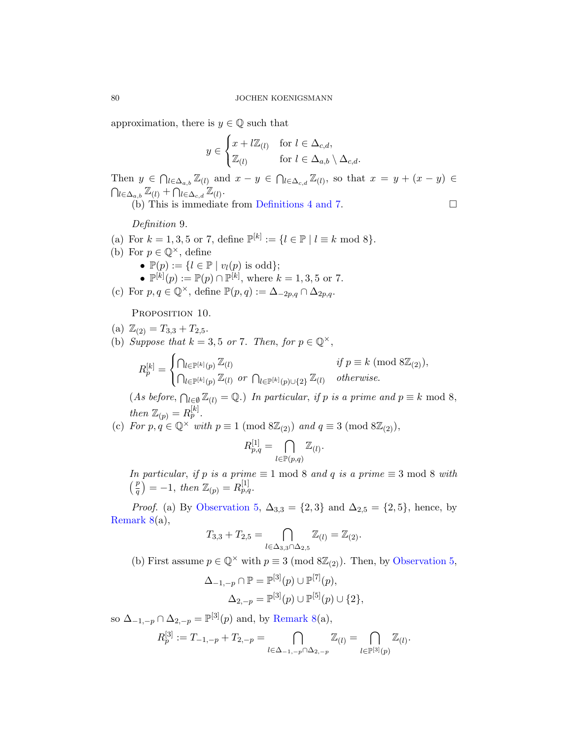approxi[mation, there i](#page-2-0)s  $y \in \mathbb{Q}$  such that

$$
y \in \begin{cases} x + l\mathbb{Z}_{(l)} & \text{for } l \in \Delta_{c,d}, \\ \mathbb{Z}_{(l)} & \text{for } l \in \Delta_{a,b} \setminus \Delta_{c,d}. \end{cases}
$$

Then  $y \in \bigcap_{l \in \Delta_{a,b}} \mathbb{Z}_{(l)}$  and  $x - y \in \bigcap_{l \in \Delta_{c,d}} \mathbb{Z}_{(l)}$ , so that  $x = y + (x - y) \in \Delta_{c,d}$  $\bigcap_{l\in\Delta_{a,b}}\mathbb{Z}_{(l)}+\bigcap_{l\in\Delta_{c,d}}\mathbb{Z}_{(l)}.$ (b) This is immediate from Definitions 4 and 7.

Definition 9.

- <span id="page-7-0"></span>(a) For  $k = 1, 3, 5$  or 7, define  $\mathbb{P}^{[k]} := \{l \in \mathbb{P} \mid l \equiv k \text{ mod } 8\}.$
- (b) For  $p \in \mathbb{Q}^{\times}$ , define •  $\mathbb{P}(p) := \{l \in \mathbb{P} \mid v_l(p) \text{ is odd}\};$ •  $\mathbb{P}^{[k]}(p) := \mathbb{P}(p) \cap \mathbb{P}^{[k]}$ , where  $k = 1, 3, 5$  or 7.
- (c) For  $p, q \in \mathbb{Q}^{\times}$ , define  $\mathbb{P}(p,q) := \Delta_{-2p,q} \cap \Delta_{2p,q}$ .

PROPOSITION 10.

- (a)  $\mathbb{Z}_{(2)} = T_{3,3} + T_{2,5}$ .
- (b) Suppose that  $k = 3, 5$  or 7. Then, for  $p \in \mathbb{Q}^{\times}$ ,

$$
R_p^{[k]} = \begin{cases} \bigcap_{l \in \mathbb{P}^{[k]}(p)} \mathbb{Z}_{(l)} & \text{if } p \equiv k \pmod{8\mathbb{Z}_{(2)}}, \\ \bigcap_{l \in \mathbb{P}^{[k]}(p)} \mathbb{Z}_{(l)} & \text{or } \bigcap_{l \in \mathbb{P}^{[k]}(p) \cup \{2\}} \mathbb{Z}_{(l)} & \text{otherwise.} \end{cases}
$$

(As before,  $\bigcap_{l\in\emptyset}\mathbb{Z}_{(l)}=\mathbb{Q}$ .) In particular, if p is a prime and  $p\equiv k \mod 8$ , then  $\mathbb{Z}_{(p)} = R_p^{[k]}$ .

(c) [For](#page-3-0)  $p, q \in \mathbb{Q}^{\times}$  with  $p \equiv 1 \pmod{8\mathbb{Z}_{(2)}}$  and  $q \equiv 3 \pmod{8\mathbb{Z}_{(2)}}$ ,

$$
R^{[1]}_{p,q} = \bigcap_{l \in \mathbb{P}(p,q)} \mathbb{Z}_{(l)}.
$$

In particular, if p is a prime  $\equiv 1 \mod 8$  $\equiv 1 \mod 8$  and q is a prime  $\equiv 3 \mod 8$  with  $\left(\frac{p}{q}\right) = -1$ , then  $\mathbb{Z}_{(p)} = R_{p,q}^{[1]}$ .

*Proof.* (a) By Observation 5,  $\Delta_{3,3} = \{2,3\}$  and  $\Delta_{2,5} = \{2,5\}$ , hence, by Remark 8(a),

$$
T_{3,3} + T_{2,5} = \bigcap_{l \in \Delta_{3,3} \cap \Delta_{2,5}} \mathbb{Z}_{(l)} = \mathbb{Z}_{(2)}.
$$

(b) First assume  $p \in \mathbb{Q}^{\times}$  with  $p \equiv 3 \pmod{8\mathbb{Z}_{(2)}}$ . Then, by Observation 5,

$$
\Delta_{-1,-p} \cap \mathbb{P} = \mathbb{P}^{[3]}(p) \cup \mathbb{P}^{[7]}(p), \n\Delta_{2,-p} = \mathbb{P}^{[3]}(p) \cup \mathbb{P}^{[5]}(p) \cup \{2\},
$$

so  $\Delta_{-1,-p} \cap \Delta_{2,-p} = \mathbb{P}^{[3]}(p)$  and, by Remark 8(a),

$$
R_p^{[3]} := T_{-1,-p} + T_{2,-p} = \bigcap_{l \in \Delta_{-1,-p} \cap \Delta_{2,-p}} \mathbb{Z}_{(l)} = \bigcap_{l \in \mathbb{P}^{[3]}(p)} \mathbb{Z}_{(l)}.
$$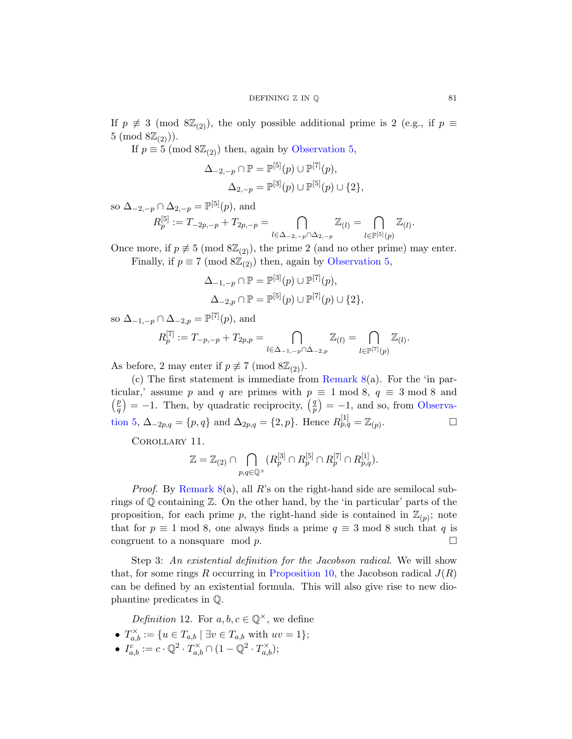If  $p \not\equiv 3 \pmod{8\mathbb{Z}_{(2)}}$ , the only possible additional prime is 2 (e.g., if  $p \equiv$  $5 \pmod{8\mathbb{Z}_{(2)}}$ .

If  $p \equiv 5 \pmod{8\mathbb{Z}_{(2)}}$  then, again by Observation 5,

$$
\Delta_{-2,-p} \cap \mathbb{P} = \mathbb{P}^{[5]}(p) \cup \mathbb{P}^{[7]}(p),
$$
  

$$
\Delta_{2,-p} = \mathbb{P}^{[3]}(p) \cup \mathbb{P}^{[5]}(p) \cup \{2\},
$$

so  $\Delta_{-2,-p} \cap \Delta_{2,-p} = \mathbb{P}^{[5]}(p)$ , and

$$
R_p^{[5]} := T_{-2p,-p} + T_{2p,-p} = \bigcap_{l \in \Delta_{-2,-p} \cap \Delta_{2,-p}} \mathbb{Z}_{(l)} = \bigcap_{l \in \mathbb{P}^{[5]}(p)} \mathbb{Z}_{(l)}.
$$

Once more, if  $p \neq 5 \pmod{8\mathbb{Z}_{(2)}}$ , the prime 2 (and no other prime) may enter. Finally, if  $p \equiv 7 \pmod{8\mathbb{Z}_{(2)}}$  then, again by Observation 5,

$$
\Delta_{-1,-p} \cap \mathbb{P} = \mathbb{P}^{[3]}(p) \cup \mathbb{P}^{[7]}(p), \n\Delta_{-2,p} \cap \mathbb{P} = \mathbb{P}^{[5]}(p) \cup \mathbb{P}^{[7]}(p) \cup \{2\},
$$

so 
$$
\Delta_{-1,-p} \cap \Delta_{-2,p} = \mathbb{P}^{[7]}(p)
$$
, and

$$
R_p^{[7]} := T_{-p,-p} + T_{2p,p} = \bigcap_{l \in \Delta_{-1,-p} \cap \Delta_{-2,p}} \mathbb{Z}_{(l)} = \bigcap_{l \in \mathbb{P}^{[7]}(p)} \mathbb{Z}_{(l)}.
$$

As before, 2 may enter if  $p \not\equiv 7 \pmod{8\mathbb{Z}_{(2)}}$ .

(c) The first statement is immediate from Remark  $8(a)$ . For the 'in particular,' assume p and q are primes with  $p \equiv 1 \mod 8$ ,  $q \equiv 3 \mod 8$  and  $\left( p\right)$  $\binom{p}{q} = -1$ . Then, by quadratic reciprocity,  $\binom{q}{p}$  $\binom{q}{p}$  = -1, and so, from Observation 5,  $\Delta_{-2p,q} = \{p,q\}$  and  $\Delta_{2p,q} = \{2,p\}$ . Hence  $R_{p,q}^{[1]} = \mathbb{Z}_{(p)}$ . — П

Corollary 11.

$$
\mathbb{Z} = \mathbb{Z}_{(2)} \cap \bigcap_{p,q \in \mathbb{Q}^\times} (R_p^{[3]} \cap R_p^{[5]} \cap R_p^{[7]} \cap R_{p,q}^{[1]}).
$$

*Proof.* By Remark  $8(a)$ , all R's on the right-hand side are semilocal subrings of Q containing Z. On the other hand, by the 'in particular' parts of the proposition, for each prime p, the right-hand side is contained in  $\mathbb{Z}_{(p)}$ ; note that for  $p \equiv 1 \mod 8$ , one always finds a prime  $q \equiv 3 \mod 8$  such that q is congruent to a nonsquare mod  $p$ .

Step 3: An existential definition for the Jacobson radical. We will show that, for some rings R occurring in Proposition 10, the Jacobson radical  $J(R)$ can be defined by an existential formula. This will also give rise to new diophantine predicates in Q.

Definition 12. For  $a, b, c \in \mathbb{Q}^{\times}$ , we define

- $T_{a,b}^{\times} := \{ u \in T_{a,b} \mid \exists v \in T_{a,b} \text{ with } uv = 1 \};$
- $I_{a,b}^c := c \cdot \mathbb{Q}^2 \cdot T_{a,b}^\times \cap (1 \mathbb{Q}^2 \cdot T_{a,b}^\times);$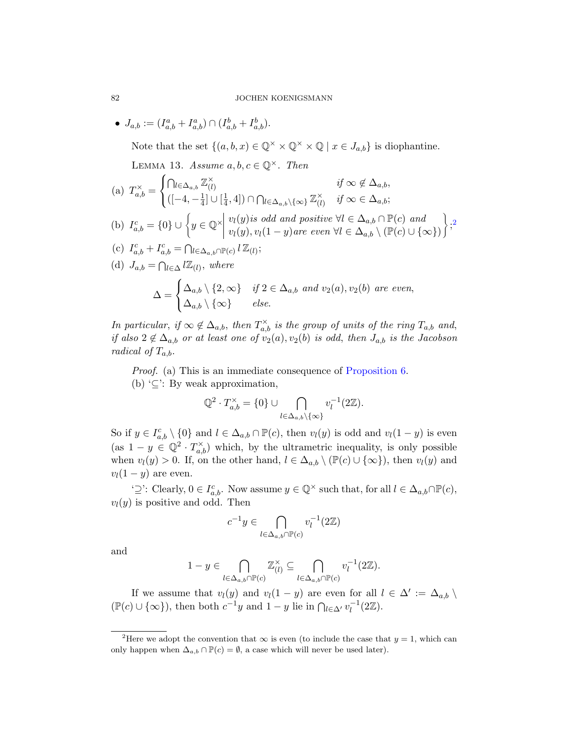•  $J_{a,b} := (I_{a,b}^a + I_{a,b}^a) \cap (I_{a,b}^b + I_{a,b}^b).$ 

Note that the set  $\{(a, b, x) \in \mathbb{Q}^\times \times \mathbb{Q}^\times \times \mathbb{Q} \mid x \in J_{a,b}\}\$  $\{(a, b, x) \in \mathbb{Q}^\times \times \mathbb{Q}^\times \times \mathbb{Q} \mid x \in J_{a,b}\}\$  $\{(a, b, x) \in \mathbb{Q}^\times \times \mathbb{Q}^\times \times \mathbb{Q} \mid x \in J_{a,b}\}\$ is diophantine.

LEMMA 13. Assume  $a, b, c \in \mathbb{Q}^{\times}$ . Then

(a) 
$$
T_{a,b}^{\times} = \begin{cases} \bigcap_{l \in \Delta_{a,b}} \mathbb{Z}_{(l)}^{\times} & \text{if } \infty \notin \Delta_{a,b}, \\ ([-4, -\frac{1}{4}] \cup [\frac{1}{4}, 4]) \cap \bigcap_{l \in \Delta_{a,b}} \setminus \{\infty\} \mathbb{Z}_{(l)}^{\times} & \text{if } \infty \in \Delta_{a,b}; \end{cases}
$$
  
\n(b)  $I_{a,b}^{c} = \{0\} \cup \left\{ y \in \mathbb{Q}^{\times} \middle| \begin{array}{l} v_l(y) \text{ is odd and positive } \forall l \in \Delta_{a,b} \cap \mathbb{P}(c) \text{ and} \\ v_l(y), v_l(1-y) \text{ are even } \forall l \in \Delta_{a,b} \setminus (\mathbb{P}(c) \cup \{\infty\}) \end{array} \right\};^2$   
\n(c)  $I_{a,b}^{c} + I_{a,b}^{c} = \bigcap_{l \in \Delta_{a,b} \cap \mathbb{P}(c)} l \mathbb{Z}_{(l)};$   
\n(d)  $J_{a,b} = \bigcap_{l \in \Delta} l \mathbb{Z}_{(l)}, \text{ where }$   
\n
$$
\Delta = \begin{cases} \Delta_{a,b} \setminus \{2, \infty\} & \text{if } 2 \in \Delta_{a,b} \text{ and } v_2(a), v_2(b) \text{ are even,} \\ \Delta_{a,b} \setminus \{\infty\} & \text{else.} \end{cases}
$$

In particular, if  $\infty \notin \Delta_{a,b}$ , then  $T_{a,b}^{\times}$  is the group of units of the ring  $T_{a,b}$  and, if also  $2 \notin \Delta_{a,b}$  or at least one of  $v_2(a), v_2(b)$  is odd, then  $J_{a,b}$  is the Jacobson radical of  $T_{a,b}$ .

Proof. (a) This is an immediate consequence of Proposition 6. (b)  $\subseteq$ : By weak approximation,

$$
\mathbb{Q}^2 \cdot T_{a,b}^{\times} = \{0\} \cup \bigcap_{l \in \Delta_{a,b} \setminus \{\infty\}} v_l^{-1}(2\mathbb{Z}).
$$

So if  $y \in I_{a,b}^c \setminus \{0\}$  and  $l \in \Delta_{a,b} \cap \mathbb{P}(c)$ , then  $v_l(y)$  is odd and  $v_l(1-y)$  is even (as  $1 - y \in \mathbb{Q}^2 \cdot T^{\times}_{a,b}$ ) which, by the ultrametric inequality, is only possible when  $v_l(y) > 0$ . If, on the other hand,  $l \in \Delta_{a,b} \setminus (\mathbb{P}(c) \cup \{\infty\})$ , then  $v_l(y)$  and  $v_l(1-y)$  are even.

' $\supseteq'$ : Clearly,  $0 \in I_{a,b}^c$ . Now assume  $y \in \mathbb{Q}^\times$  such that, for all  $l \in \Delta_{a,b} \cap \mathbb{P}(c)$ ,  $v_l(y)$  is positive and odd. Then

$$
c^{-1}y \in \bigcap_{l \in \Delta_{a,b} \cap \mathbb{P}(c)} v_l^{-1}(2\mathbb{Z})
$$

<span id="page-9-0"></span>and

$$
1 - y \in \bigcap_{l \in \Delta_{a,b} \cap \mathbb{P}(c)} \mathbb{Z}_{(l)}^{\times} \subseteq \bigcap_{l \in \Delta_{a,b} \cap \mathbb{P}(c)} v_l^{-1}(2\mathbb{Z}).
$$

If we assume that  $v_l(y)$  and  $v_l(1-y)$  are even for all  $l \in \Delta' := \Delta_{a,b} \setminus$  $(\mathbb{P}(c) \cup \{\infty\})$ , then both  $c^{-1}y$  and  $1-y$  lie in  $\bigcap_{l\in\Delta'} v_l^{-1}(2\mathbb{Z})$ .

<span id="page-9-1"></span>

<sup>&</sup>lt;sup>2</sup>Here we adopt the convention that  $\infty$  is even (to include the case that  $y = 1$ , which can only happen when  $\Delta_{a,b} \cap \mathbb{P}(c) = \emptyset$ , a case which will never be used later).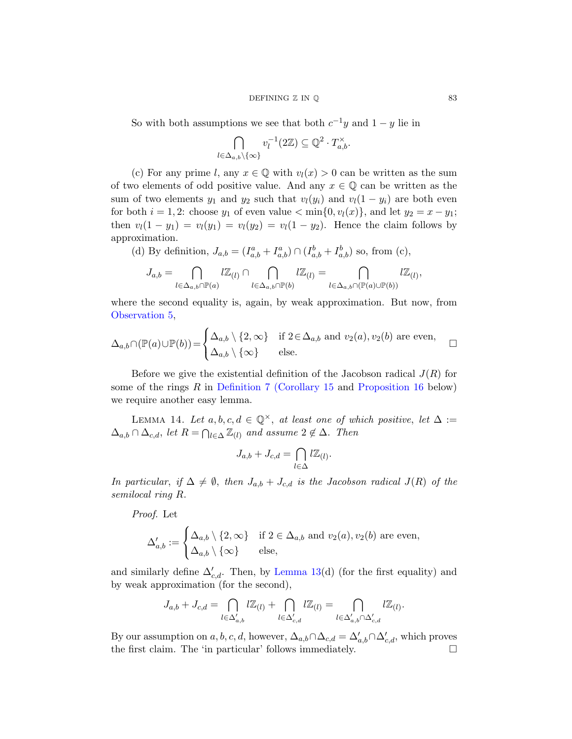## DEFINING  $\mathbb Z$  IN  $\mathbb Q$  83

So with both assumptions we see that both  $c^{-1}y$  and  $1-y$  lie in

$$
\bigcap_{l \in \Delta_{a,b} \setminus \{\infty\}} v_l^{-1}(2\mathbb{Z}) \subseteq \mathbb{Q}^2 \cdot T_{a,b}^{\times}.
$$

(c) For any prime l, any  $x \in \mathbb{Q}$  with  $v_l(x) > 0$  can be written as the sum of two elements of odd positive value. And any  $x \in \mathbb{Q}$  can be written as the sum of two elements  $y_1$  and  $y_2$  such that  $v_l(y_i)$  and  $v_l(1 - y_i)$  are both even for both  $i = 1, 2$ : choose  $y_1$  of even value  $\langle \min\{0, v_l(x)\},\, \text{and let } y_2 = x - y_1;$ then  $v_l(1 - y_1) = v_l(y_1) = v_l(y_2) = v_l(1 - y_2)$ . Hence the claim follows by approximation.

(d) By definition, 
$$
J_{a,b} = (I_{a,b}^a + I_{a,b}^a) \cap (I_{a,b}^b + I_{a,b}^b)
$$
 so, from (c),

$$
J_{a,b} = \bigcap_{l \in \Delta_{a,b} \cap \mathbb{P}(a)} l \mathbb{Z}_{(l)} \cap \bigcap_{l \in \Delta_{a,b} \cap \mathbb{P}(b)} l \mathbb{Z}_{(l)} = \bigcap_{l \in \Delta_{a,b} \cap (\mathbb{P}(a) \cup \mathbb{P}(b))} l \mathbb{Z}_{(l)},
$$

[where the se](#page-6-0)[cond equality](#page-11-0) is, a[gain, by weak ap](#page-12-0)proximation. But now, from Observation 5,

<span id="page-10-0"></span>
$$
\Delta_{a,b} \cap (\mathbb{P}(a) \cup \mathbb{P}(b)) = \begin{cases} \Delta_{a,b} \setminus \{2,\infty\} & \text{if } 2 \in \Delta_{a,b} \text{ and } v_2(a), v_2(b) \text{ are even,} \\ \Delta_{a,b} \setminus \{\infty\} & \text{else.} \end{cases} \square
$$

Before we give the existential definition of the Jacobson radical  $J(R)$  for some of the rings  $R$  in Definition 7 (Corollary 15 and Proposition 16 below) we require another easy lemma.

LEMMA 14. Let  $a, b, c, d \in \mathbb{Q}^{\times}$ , at least one of which positive, let  $\Delta :=$  $\Delta_{a,b} \cap \Delta_{c,d}$ , let  $R = \bigcap_{l \in \Delta} \mathbb{Z}_{(l)}$  and assume  $2 \notin \Delta$ . Then

$$
J_{a,b}+J_{c,d}=\bigcap_{l\in\Delta}l\mathbb{Z}_{(l)}.
$$

In particular, if  $\Delta \neq \emptyset$ , then  $J_{a,b} + J_{c,d}$  is the Jacobson radical  $J(R)$  of the semilocal ring [R](#page-9-1).

Proof. Let

$$
\Delta'_{a,b} := \begin{cases} \Delta_{a,b} \setminus \{2,\infty\} & \text{if } 2 \in \Delta_{a,b} \text{ and } v_2(a), v_2(b) \text{ are even,} \\ \Delta_{a,b} \setminus \{\infty\} & \text{else,} \end{cases}
$$

and similarly define  $\Delta'_{c,d}$ . Then, by Lemma 13(d) (for the first equality) and by weak approximation (for the second),

$$
J_{a,b}+J_{c,d}=\bigcap_{l\in\Delta'_{a,b}}l\mathbb{Z}_{(l)}+\bigcap_{l\in\Delta'_{c,d}}l\mathbb{Z}_{(l)}=\bigcap_{l\in\Delta'_{a,b}\cap\Delta'_{c,d}}l\mathbb{Z}_{(l)}.
$$

By our assumption on  $a, b, c, d$ , however,  $\Delta_{a,b} \cap \Delta_{c,d} = \Delta'_{a,b} \cap \Delta'_{c,d}$ , which proves the first claim. The 'in particular' follows immediately.  $\hfill \Box$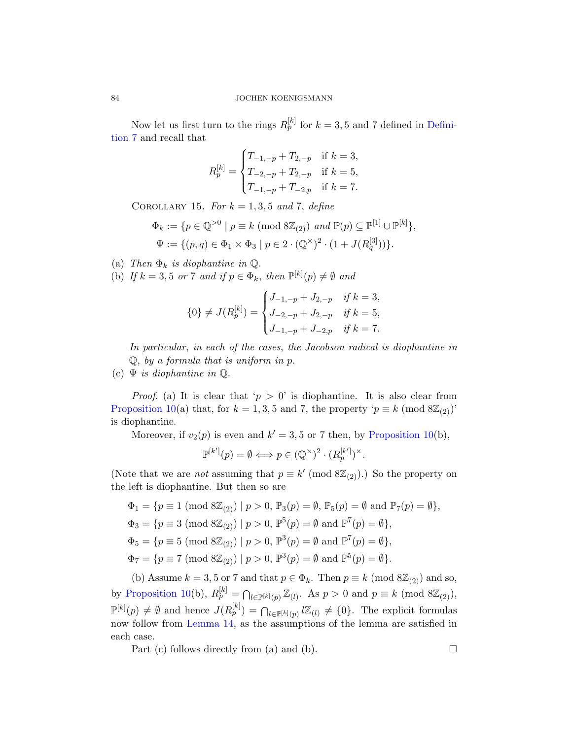<span id="page-11-0"></span>Now let us first turn to the rings  $R_p^{[k]}$  for  $k = 3, 5$  and 7 defined in Definition 7 and recall that

$$
R_p^{[k]} = \begin{cases} T_{-1,-p} + T_{2,-p} & \text{if } k = 3, \\ T_{-2,-p} + T_{2,-p} & \text{if } k = 5, \\ T_{-1,-p} + T_{-2,p} & \text{if } k = 7. \end{cases}
$$

COROLLARY 15. For  $k = 1, 3, 5$  and 7, define

$$
\Phi_k := \{ p \in \mathbb{Q}^{>0} \mid p \equiv k \pmod{8\mathbb{Z}_{(2)}} \text{ and } \mathbb{P}(p) \subseteq \mathbb{P}^{[1]} \cup \mathbb{P}^{[k]}\},\
$$
  

$$
\Psi := \{ (p, q) \in \Phi_1 \times \Phi_3 \mid p \in 2 \cdot (\mathbb{Q}^{\times})^2 \cdot (1 + J(R_q^{[3]})) \}.
$$

(a) Then  $\Phi_k$  is diophantine in  $\mathbb{Q}$ .

(b) If  $k = 3, 5$  or 7 and if  $p \in \Phi_k$ , then  $\mathbb{P}^{[k]}(p) \neq \emptyset$  and

$$
\{0\} \neq J(R_p^{[k]}) = \begin{cases} J_{-1,-p} + J_{2,-p} & \text{if } k = 3, \\ J_{-2,-p} + J_{2,-p} & \text{if } k = 5, \\ J_{-1,-p} + J_{-2,p} & \text{if } k = 7. \end{cases}
$$

In particular, in each of the cases, [the Jacobs](#page-7-0)on radical is diophantine in  $Q$ , by a formula that is uniform in p.

(c)  $\Psi$  is diophantine in  $\mathbb Q$ .

*Proof.* (a) It is clear that ' $p > 0$ ' is diophantine. It is also clear from Proposition 10(a) that, for  $k = 1, 3, 5$  and 7, the property ' $p \equiv k \pmod{8\mathbb{Z}_{(2)}}$ ' is diophantine.

Moreover, if  $v_2(p)$  is even and  $k' = 3, 5$  or 7 then, by Proposition 10(b),

$$
\mathbb{P}^{[k']}(p) = \emptyset \Longleftrightarrow p \in (\mathbb{Q}^{\times})^2 \cdot (R_p^{[k']})^{\times}.
$$

(Note that we are *not* assuming that  $p \equiv k' \pmod{8\mathbb{Z}_{(2)}}$ .) So the property on the left is diophantine. But then so are

$$
\Phi_1 = \{ p \equiv 1 \pmod{8\mathbb{Z}_{(2)}} \mid p > 0, \mathbb{P}_3(p) = \emptyset, \mathbb{P}_5(p) = \emptyset \text{ and } \mathbb{P}_7(p) = \emptyset \},
$$
  

$$
\Phi_3 = \{ p \equiv 3 \pmod{8\mathbb{Z}_{(2)}} \mid p > 0, \mathbb{P}^5(p) = \emptyset \text{ and } \mathbb{P}^7(p) = \emptyset \},
$$
  

$$
\Phi_5 = \{ p \equiv 5 \pmod{8\mathbb{Z}_{(2)}} \mid p > 0, \mathbb{P}^3(p) = \emptyset \text{ and } \mathbb{P}^7(p) = \emptyset \},
$$
  

$$
\Phi_7 = \{ p \equiv 7 \pmod{8\mathbb{Z}_{(2)}} \mid p > 0, \mathbb{P}^3(p) = \emptyset \text{ and } \mathbb{P}^5(p) = \emptyset \}.
$$

(b) Assume  $k = 3, 5$  or 7 and that  $p \in \Phi_k$ . Then  $p \equiv k \pmod{8\mathbb{Z}_{(2)}}$  and so, by Proposition 10(b),  $R_p^{[k]} = \bigcap_{l \in \mathbb{P}^{[k]}(p)} \mathbb{Z}_{(l)}$ . As  $p > 0$  and  $p \equiv k \pmod{8\mathbb{Z}_{(2)}}$ ,  $\mathbb{P}^{[k]}(p) \neq \emptyset$  and hence  $J(R_p^{[k]}) = \bigcap_{l \in \mathbb{P}^{[k]}(p)} l\mathbb{Z}_{(l)} \neq \{0\}$ . The explicit formulas now follow from Lemma 14, as the assumptions of the lemma are satisfied in each case.

Part (c) follows directly from (a) and (b).  $\Box$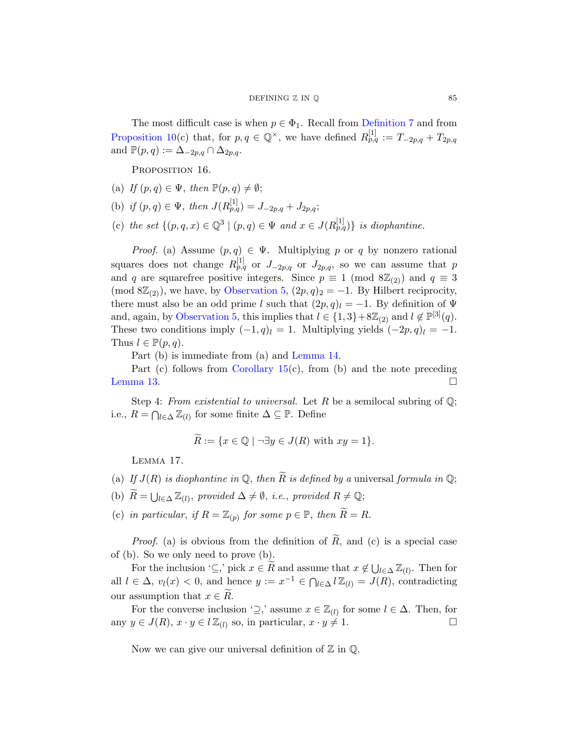<span id="page-12-0"></span>The most difficult case is when  $p \in \Phi_1$ . Recall from Definition 7 and from Proposition 10(c) that, for  $p, q \in \mathbb{Q}^{\times}$ , we have defined  $R_{p,q}^{[1]} := T_{-2p,q} + T_{2p,q}$ and  $\mathbb{P}(p,q) := \Delta_{-2p,q} \cap \Delta_{2p,q}$ .

PROPOSITION 16.

- (a) If  $(p, q) \in \Psi$ , then  $\mathbb{P}(p, q) \neq \emptyset$ ;
- (b) if  $(p, q) \in \Psi$  $(p, q) \in \Psi$  $(p, q) \in \Psi$ , then  $J(R_{p,q}^{[1]}) = J_{-2p,q} + J_{2p,q};$
- [\(c\)](#page-3-0) the set  $\{(p,q,x)\in\mathbb{Q}^3\mid (p,q)\in\Psi\text{ and }x\in J(R_{p,q}^{[1]})\}$  is diophantine.

*Proof.* (a) Assume  $(p, q) \in \Psi$ . Multiplying p or q by nonzero rational squares does not change  $R_{p,q}^{[1]}$  or  $J_{-2p,q}$  or  $J_{2p,q}$ , so we can assume that p and q are square[free positiv](#page-10-0)e integers. Since  $p \equiv 1 \pmod{8\mathbb{Z}_{(2)}}$  and  $q \equiv 3$ (mod  $8\mathbb{Z}_{(2)}$ [\), we h](#page-11-0)ave, by Observation 5,  $(2p, q)_2 = -1$ . By Hilbert reciprocity, there must also be an odd prime l such that  $(2p, q)_l = -1$ . By definition of  $\Psi$ and, again, by Observation 5, this implies that  $l \in \{1,3\}+8\mathbb{Z}_{(2)}$  and  $l \notin \mathbb{P}^{[3]}(q)$ . These two conditions imply  $(-1, q)_l = 1$ . Multiplying yields  $(-2p, q)_l = -1$ . Thus  $l \in \mathbb{P}(p,q)$ .

Part (b) is immediate from (a) and Lemma 14.

<span id="page-12-1"></span>Part (c) follows from Corollary  $15(c)$ , from (b) and the note preceding Lemma 13.  $\Box$ 

Step 4: From existential to universal. Let R be a semilocal subring of  $\mathbb{Q}$ ; i.e.,  $R = \bigcap_{l \in \Delta} \mathbb{Z}_{(l)}$  for some finite  $\Delta \subseteq \mathbb{P}$ . Define

$$
\widetilde{R} := \{ x \in \mathbb{Q} \mid \neg \exists y \in J(R) \text{ with } xy = 1 \}.
$$

Lemma 17.

- (a) If  $J(R)$  is diophantine in  $\mathbb Q$ , then  $\widetilde R$  is defined by a universal formula in  $\mathbb Q$ ;
- (b)  $\widetilde{R} = \bigcup_{l \in \Delta} \mathbb{Z}_{(l)},$  provided  $\Delta \neq \emptyset$ , i.e., provided  $R \neq \mathbb{Q}$ ;
- (c) in particular, if  $R = \mathbb{Z}_{(p)}$  for some  $p \in \mathbb{P}$ , then  $\widetilde{R} = R$ .

*Proof.* (a) is obvious from the definition of  $R$ , and (c) is a special case of (b). So we only need to prove (b).

For the inclusion ' $\subseteq$ ,' pick  $x \in \tilde{R}$  and assume that  $x \notin \bigcup_{l \in \Delta} \mathbb{Z}_{(l)}$ . Then for all  $l \in \Delta$ ,  $v_l(x) < 0$ , and hence  $y := x^{-1} \in \bigcap_{l \in \Delta} l \mathbb{Z}_{(l)} = J(R)$ , contradicting our assumption that  $x \in R$ .

For the converse inclusion ' $\supseteq$ ,' assume  $x \in \mathbb{Z}_{(l)}$  for some  $l \in \Delta$ . Then, for any  $y \in J(R)$ ,  $x \cdot y \in l\mathbb{Z}_{(l)}$  so, in particular,  $x \cdot y \neq 1$ .

Now we can give our universal definition of  $\mathbb Z$  in  $\mathbb Q$ .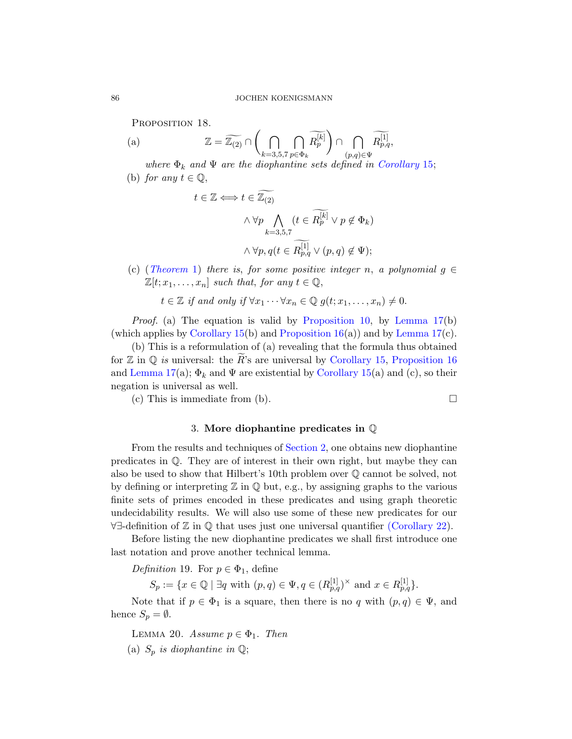PROPOSITION 18.

(a) 
$$
\mathbb{Z} = \widetilde{\mathbb{Z}_{(2)}} \cap \left( \bigcap_{k=3,5,7} \bigcap_{p \in \Phi_k} \widetilde{R_p^{[k]}} \right) \cap \bigcap_{(p,q) \in \Psi} \widetilde{R_{p,q}^{[1]}},
$$

where  $\Phi_k$  and  $\Psi$  are the diophantine sets defined in Corollary 15; (b) for any  $t \in \mathbb{Q}$ ,

$$
t \in \mathbb{Z} \iff t \in \widetilde{\mathbb{Z}_{(2)}}
$$

$$
\wedge \forall p \bigwedge_{k=3,5,7} (t \in \widetilde{R^{[k]}_p} \lor p \notin \Phi_k)
$$

$$
\wedge \forall p, q(t \in \widetilde{R^{[1]}_{p,q}} \lor (p,q) \notin \Psi);
$$

(c) (Theorem 1) there is, for some [positive intege](#page-12-0)r n, a polynomial  $g \in$  $\mathbb{Z}[t; x_1, \ldots, x_n]$  su[ch that](#page-11-0), for any  $t \in \mathbb{Q}$ ,

 $t \in \mathbb{Z}$  if an[d only if](#page-11-0)  $\forall x_1 \cdots \forall x_n \in \mathbb{Q}$   $g(t; x_1, \ldots, x_n) \neq 0$ .

*Proof.* (a) The equation is valid by Proposition 10, by Lemma  $17(b)$ (which applies by Corollary 15(b) and Proposition 16(a)) and by Lemma 17(c).

(b) This is a reformulation of (a) revealing that the formula thus obtained for  $\mathbb Z$  in  $\mathbb Q$  is u[niversal: th](#page-2-1)e  $\widetilde R$ 's are universal by Corollary 15, Proposition 16 and Lemma 17(a);  $\Phi_k$  and  $\Psi$  are existential by Corollary 15(a) and (c), so their negation is universal as well.

(c) This is immediate from (b).  $\Box$ 

## 3. More diophantine predicates in Q

From the results and techniques of [Section 2, one](#page-17-0) obtains new diophantine predicates in Q. They are of interest in their own right, but maybe they can also be used to show that Hilbert's 10th problem over Q cannot be solved, not by defining or interpreting  $\mathbb Z$  in  $\mathbb Q$  but, e.g., by assigning graphs to the various finite sets of primes encoded in these predicates and using graph theoretic undecidability results. We will also use some of these new predicates for our ∀∃-definition of Z in Q that uses just one universal quantifier (Corollary 22).

<span id="page-13-0"></span>Before listing the new diophantine predicates we shall first introduce one last notation and prove another technical lemma.

Definition 19. For  $p \in \Phi_1$ , define

 $S_p := \{x \in \mathbb{Q} \mid \exists q \text{ with } (p, q) \in \Psi, q \in (R^{[1]}_{p,q})^{\times} \text{ and } x \in R^{[1]}_{p,q}\}.$ 

Note that if  $p \in \Phi_1$  is a square, then there is no q with  $(p, q) \in \Psi$ , and hence  $S_p = \emptyset$ .

LEMMA 20. Assume  $p \in \Phi_1$ . Then

(a)  $S_p$  is diophantine in  $\mathbb{Q}$ ;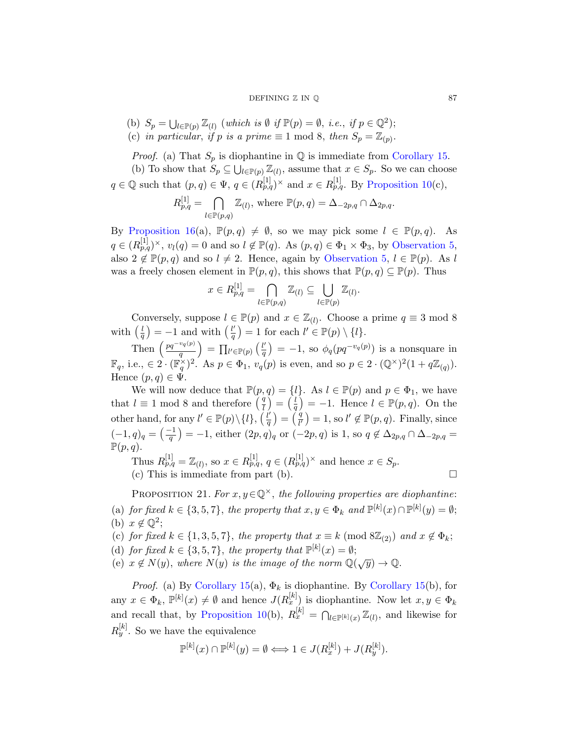#### DE[FINING](#page-7-0)  $\mathbb{Z}$  IN  $\mathbb{Q}$  87

(b)  $S_p = \bigcup_{l \in \mathbb{P}(p)} \mathbb{Z}_{(l)}$  (which is  $\emptyset$  if  $\mathbb{P}(p) = \emptyset$ , i.e., if  $p \in \mathbb{Q}^2$ ); (c) in particular, if p is a prime  $\equiv 1 \mod 8$ , then  $S_p = \mathbb{Z}_{(p)}$ .

*Proof.* (a) That  $S_p$  is diophantine in  $\mathbb Q$  is immediate from Corollary 15. (b) To show that  $S_p \subseteq \bigcup_{l \in \mathbb{P}(p)} \mathbb{Z}_{(l)}$ , [assume that](#page-3-0)  $x \in S_p$ . So we can choose  $q \in \mathbb{Q}$  such that  $(p, q) \in \Psi$ ,  $q \in (R_{p,q}^{[1]})^{\times}$  $q \in (R_{p,q}^{[1]})^{\times}$  $q \in (R_{p,q}^{[1]})^{\times}$  and  $x \in R_{p,q}^{[1]}$ . By Proposition 10(c),

$$
R_{p,q}^{[1]} = \bigcap_{l \in \mathbb{P}(p,q)} \mathbb{Z}_{(l)}, \text{ where } \mathbb{P}(p,q) = \Delta_{-2p,q} \cap \Delta_{2p,q}.
$$

By Proposition 16(a),  $\mathbb{P}(p,q) \neq \emptyset$ , so we may pick some  $l \in \mathbb{P}(p,q)$ . As  $q \in (R^{[1]}_{p,q})^{\times}, v_l(q) = 0$  and so  $l \notin \mathbb{P}(q)$ . As  $(p,q) \in \Phi_1 \times \Phi_3$ , by Observation 5, also  $2 \notin \mathbb{P}(p,q)$  and so  $l \neq 2$ . Hence, again by Observation 5,  $l \in \mathbb{P}(p)$ . As l was a freely chosen element in  $\mathbb{P}(p,q)$ , this shows that  $\mathbb{P}(p,q) \subseteq \mathbb{P}(p)$ . Thus

$$
x \in R^{[1]}_{p,q} = \bigcap_{l \in \mathbb{P}(p,q)} \mathbb{Z}_{(l)} \subseteq \bigcup_{l \in \mathbb{P}(p)} \mathbb{Z}_{(l)}.
$$

Conversely, suppose  $l \in \mathbb{P}(p)$  and  $x \in \mathbb{Z}_{(l)}$ . Choose a prime  $q \equiv 3 \mod 8$ with  $\left(\frac{l}{q}\right) = -1$  and with  $\left(\frac{l'}{q}\right)$  $\binom{l'}{q} = 1$  for each  $l' \in \mathbb{P}(p) \setminus \{l\}.$ 

Then  $\left(\frac{pq^{-v_q(p)}}{q}\right)$ q  $= \prod_{l' \in \mathbb{P}(p)} \left( \frac{l'}{q} \right)$  $\left(\frac{d'}{q}\right) = -1$ , so  $\phi_q(pq^{-v_q(p)})$  is a nonsquare in  $\mathbb{F}_q$ , i.e.,  $\in 2 \cdot (\mathbb{F}_q^{\times})^2$ . As  $p \in \Phi_1$ ,  $v_q(p)$  is even, and so  $p \in 2 \cdot (\mathbb{Q}^{\times})^2 (1 + q \mathbb{Z}_{(q)})$ . Hence  $(p, q) \in \Psi$ .

We will now deduce that  $\mathbb{P}(p,q) = \{l\}$ . As  $l \in \mathbb{P}(p)$  and  $p \in \Phi_1$ , we have that  $l \equiv 1 \mod 8$  and therefore  $\left(\frac{q}{l}\right)^2 = \left(\frac{l}{q}\right)^2 = -1$ . Hence  $l \in \mathbb{P}(p,q)$ . On the other hand, for any  $l' \in \mathbb{P}(p) \setminus \{l\}, \left(\frac{l'}{q}\right)$  $\left(\frac{\dot{q}}{q}\right) = \left(\frac{\dot{q}}{l'}\right) = 1$ , so  $l' \notin \mathbb{P}(p,q)$ . Finally, since  $(-1, q)_q = \left(\frac{-1}{q}\right) = -1$ , either  $(2p, q)_q$  or  $(-2p, q)$  is 1, so  $q \notin \Delta_{2p,q} \cap \Delta_{-2p,q} =$  $\mathbb{P}(p,q)$ .

Thus  $R_{p,q}^{[1]} = \mathbb{Z}_{(l)}$ , so  $x \in R_{p,q}^{[1]}$ ,  $q \in (R_{p,q}^{[1]})^{\times}$  and hence  $x \in S_p$ . (c) This is immediate from part (b).  $\square$ 

PROPOSITION 21. For  $x, y \in \mathbb{Q}^{\times}$ , the following properties are diophantine: (a) [for fi](#page-11-0)xed  $k \in \{3, 5, 7\}$ , the prop[erty that](#page-11-0)  $x, y \in \Phi_k$  and  $\mathbb{P}^{[k]}(x) \cap \mathbb{P}^{[k]}(y) = \emptyset$ ; (b)  $x \notin \mathbb{Q}^2$ ;

- (c) [for fixed](#page-7-0)  $k \in \{1, 3, 5, 7\}$ , the property that  $x \equiv k \pmod{8\mathbb{Z}_{(2)}}$  and  $x \notin \Phi_k$ ;
- (d) for fixed  $k \in \{3, 5, 7\}$ , the property that  $\mathbb{P}^{[k]}(x) = \emptyset$ ;
- (e)  $x \notin N(y)$ , where  $N(y)$  is the image of the norm  $\mathbb{Q}(\sqrt{y}) \to \mathbb{Q}$ .

*Proof.* (a) By Corollary 15(a),  $\Phi_k$  is diophantine. By Corollary 15(b), for any  $x \in \Phi_k$ ,  $\mathbb{P}^{[k]}(x) \neq \emptyset$  and hence  $J(R_x^{[k]})$  is diophantine. Now let  $x, y \in \Phi_k$ and recall that, by Proposition 10(b),  $R_x^{[k]} = \bigcap_{l \in \mathbb{P}^{[k]}(x)} \mathbb{Z}_{(l)}$ , and likewise for  $R_y^{[k]}$ . So we have the equivalence

$$
\mathbb{P}^{[k]}(x) \cap \mathbb{P}^{[k]}(y) = \emptyset \Longleftrightarrow 1 \in J(R_x^{[k]}) + J(R_y^{[k]}).
$$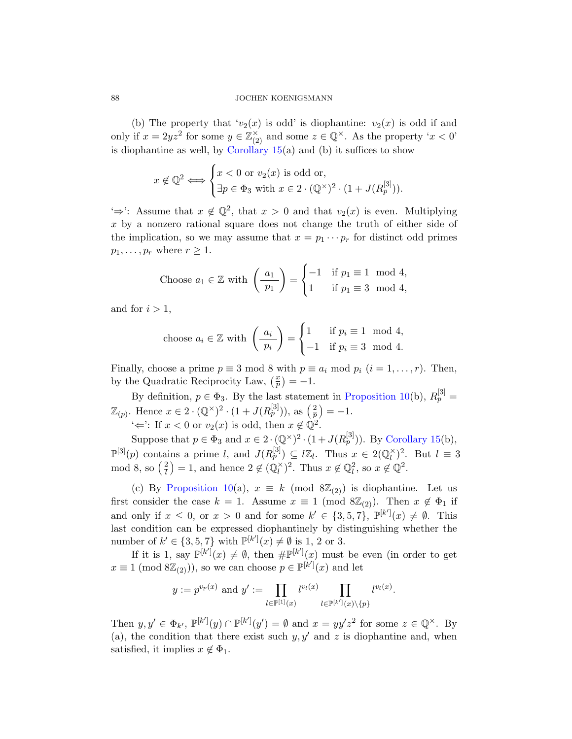#### 88 JOCHEN KOENIGSMANN

(b) The property that ' $v_2(x)$  is odd' is diophantine:  $v_2(x)$  is odd if and only if  $x = 2yz^2$  for some  $y \in \mathbb{Z}_{(2)}^\times$  and some  $z \in \mathbb{Q}^\times$ . As the property ' $x < 0$ ' is diophantine as well, by Corollary  $15(a)$  and (b) it suffices to show

$$
x \notin \mathbb{Q}^2 \iff \begin{cases} x < 0 \text{ or } v_2(x) \text{ is odd or,} \\ \exists p \in \Phi_3 \text{ with } x \in 2 \cdot (\mathbb{Q}^\times)^2 \cdot (1 + J(R_p^{[3]})). \end{cases}
$$

'⇒': Assume that  $x \notin \mathbb{Q}^2$ , that  $x > 0$  and that  $v_2(x)$  is even. Multiplying  $x$  by a nonzero rational square does not change the truth of either side of the implication, so we may assume that  $x = p_1 \cdots p_r$  for distinct odd primes  $p_1, \ldots, p_r$  where  $r \geq 1$ .

Choose 
$$
a_1 \in \mathbb{Z}
$$
 with  $\left(\frac{a_1}{p_1}\right) = \begin{cases} -1 & \text{if } p_1 \equiv 1 \mod 4, \\ 1 & \text{if } p_1 \equiv 3 \mod 4, \end{cases}$ 

and for  $i > 1$ ,

$$
\text{choose } a_i \in \mathbb{Z} \text{ with } \left( \frac{a_i}{p_i} \right) = \begin{cases} 1 & \text{if } p_i \equiv 1 \mod 4, \\ -1 & \text{if } p_i \equiv 3 \mod 4. \end{cases}
$$

Finally, choose a prime  $p \equiv 3 \mod 8$  with  $p \equiv a_i \mod p_i$   $(i = 1, \ldots, r)$ . Then, by the Quadratic Reciprocity Law,  $\left(\frac{x}{p}\right) = -1$ .

By definition,  $p \in \Phi_3$ . By the last statement in Proposition 10(b),  $R_p^{[3]} =$  $\mathbb{Z}_{(p)}$  $\mathbb{Z}_{(p)}$  $\mathbb{Z}_{(p)}$ . Hence  $x \in 2 \cdot (\mathbb{Q}^{\times})^2 \cdot (1 + J(R_p^{[3]})),$  as  $(\frac{2}{p}) = -1$ .

' $\Leftarrow$ ': If  $x < 0$  or  $v_2(x)$  is odd, then  $x \notin \mathbb{Q}^2$ .

Suppose that  $p \in \Phi_3$  and  $x \in 2 \cdot (\mathbb{Q}^{\times})^2 \cdot (1 + J(R_p^{[3]}))$ . By Corollary 15(b),  $\mathbb{P}^{[3]}(p)$  contains a prime l, and  $J(R_p^{[3]}) \subseteq \ell \mathbb{Z}_l$ . Thus  $x \in 2(\mathbb{Q}_l^{\times})$  $\binom{x}{l}^2$ . But  $l \equiv 3$ mod 8, so  $\left(\frac{2}{l}\right)$  $\left(\frac{2}{l}\right) = 1$ , and hence  $2 \notin \left(\mathbb{Q}_l^{\times}\right)$  $\binom{x}{l}^2$ . Thus  $x \notin \mathbb{Q}_l^2$ , so  $x \notin \mathbb{Q}^2$ .

(c) By Proposition 10(a),  $x \equiv k \pmod{8\mathbb{Z}_{(2)}}$  is diophantine. Let us first consider the case  $k = 1$ . Assume  $x \equiv 1 \pmod{8\mathbb{Z}_{(2)}}$ . Then  $x \notin \Phi_1$  if and only if  $x \leq 0$ , or  $x > 0$  and for some  $k' \in \{3, 5, 7\}$ ,  $\mathbb{P}^{[k']}(x) \neq \emptyset$ . This last condition can be expressed diophantinely by distinguishing whether the number of  $k' \in \{3, 5, 7\}$  with  $\mathbb{P}^{[k']}(x) \neq \emptyset$  is 1, 2 or 3.

If it is 1, say  $\mathbb{P}^{[k']}(x) \neq \emptyset$ , then  $\# \mathbb{P}^{[k']}(x)$  must be even (in order to get  $x \equiv 1 \pmod{8\mathbb{Z}_{(2)}}$ , so we can choose  $p \in \mathbb{P}^{[k']}(x)$  and let

$$
y := p^{v_p(x)}
$$
 and  $y' := \prod_{l \in \mathbb{P}^{[1]}(x)} l^{v_l(x)} \prod_{l \in \mathbb{P}^{[k']}(x) \setminus \{p\}} l^{v_l(x)}$ .

Then  $y, y' \in \Phi_{k'}$ ,  $\mathbb{P}^{[k']}(y) \cap \mathbb{P}^{[k']}(y') = \emptyset$  and  $x = yy'z^2$  for some  $z \in \mathbb{Q}^{\times}$ . By (a), the condition that there exist such  $y, y'$  and z is diophantine and, when satisfied, it implies  $x \notin \Phi_1$ .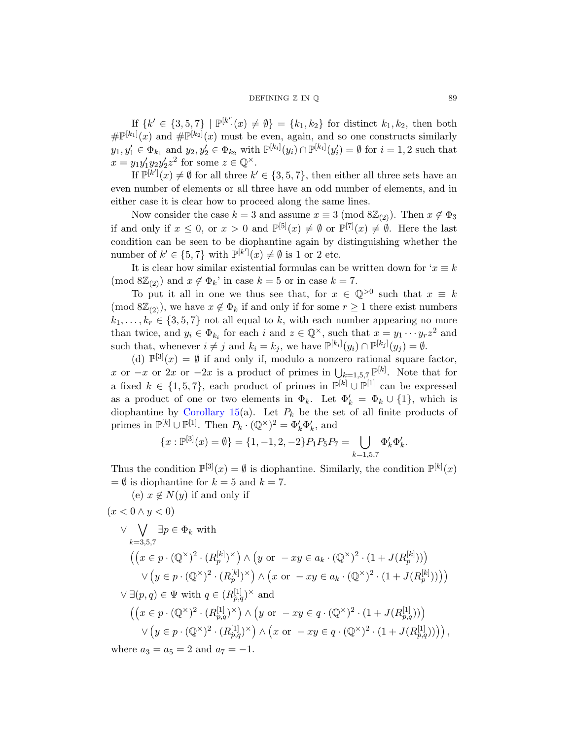## $DEFINING \nZ IN \nQ$  89

If  $\{k' \in \{3, 5, 7\} \mid \mathbb{P}^{[k']}(x) \neq \emptyset\} = \{k_1, k_2\}$  for distinct  $k_1, k_2$ , then both  $\# \mathbb{P}^{[k_1]}(x)$  and  $\# \mathbb{P}^{[k_2]}(x)$  must be even, again, and so one constructs similarly  $y_1, y_1' \in \Phi_{k_1}$  and  $y_2, y_2' \in \Phi_{k_2}$  with  $\mathbb{P}^{[k_i]}(y_i) \cap \mathbb{P}^{[k_i]}(y_i') = \emptyset$  for  $i = 1, 2$  such that  $x = y_1 y_1' y_2 y_2' z^2$  for some  $z \in \mathbb{Q}^{\times}$ .

If  $\mathbb{P}^{[k']}(x) \neq \emptyset$  for all three  $k' \in \{3, 5, 7\}$ , then either all three sets have an even number of elements or all three have an odd number of elements, and in either case it is clear how to proceed along the same lines.

Now consider the case  $k = 3$  and assume  $x \equiv 3 \pmod{8\mathbb{Z}_{(2)}}$ . Then  $x \notin \Phi_3$ if and only if  $x \leq 0$ , or  $x > 0$  and  $\mathbb{P}^{[5]}(x) \neq \emptyset$  or  $\mathbb{P}^{[7]}(x) \neq \emptyset$ . Here the last condition can be seen to be diophantine again by distinguishing whether the number of  $k' \in \{5, 7\}$  with  $\mathbb{P}^{[k']}(x) \neq \emptyset$  is 1 or 2 etc.

It is clear how similar existential formulas can be written down for  $x \equiv k$ (mod  $8\mathbb{Z}_{(2)}$ ) and  $x \notin \Phi_k$ ' in case  $k = 5$  or in case  $k = 7$ .

To put it all in one we thus see that, for  $x \in \mathbb{Q}^{>0}$  such that  $x \equiv k$ (mod  $\mathcal{S}(Z_{(2)})$ , we have  $x \notin \Phi_k$  if and only if for some  $r \geq 1$  there exist numbers  $k_1, \ldots, k_r \in \{3, 5, 7\}$  not all equal to k, with each number appearing no more [than t](#page-11-0)wice, and  $y_i \in \Phi_{k_i}$  for each i and  $z \in \mathbb{Q}^{\times}$ , such that  $x = y_1 \cdots y_r z^2$  and such that, whenever  $i \neq j$  and  $k_i = k_j$ , we have  $\mathbb{P}^{[k_i]}(y_i) \cap \mathbb{P}^{[k_j]}(y_j) = \emptyset$ .

(d)  $\mathbb{P}^{[3]}(x) = \emptyset$  if and only if, modulo a nonzero rational square factor, x or  $-x$  or  $2x$  or  $-2x$  is a product of primes in  $\bigcup_{k=1,5,7} \mathbb{P}^{[k]}$ . Note that for a fixed  $k \in \{1, 5, 7\}$ , each product of primes in  $\mathbb{P}^{[k]} \cup \mathbb{P}^{[1]}$  can be expressed as a product of one or two elements in  $\Phi_k$ . Let  $\Phi'_k = \Phi_k \cup \{1\}$ , which is diophantine by Corollary 15(a). Let  $P_k$  be the set of all finite products of primes in  $\mathbb{P}^{[k]} \cup \mathbb{P}^{[1]}$ . Then  $P_k \cdot (\mathbb{Q}^{\times})^2 = \Phi'_k \Phi'_k$ , and

$$
\{x : \mathbb{P}^{[3]}(x) = \emptyset\} = \{1, -1, 2, -2\} P_1 P_5 P_7 = \bigcup_{k=1,5,7} \Phi'_k \Phi'_k.
$$

Thus the condition  $\mathbb{P}^{[3]}(x) = \emptyset$  is diophantine. Similarly, the condition  $\mathbb{P}^{[k]}(x)$  $=\emptyset$  is diophantine for  $k = 5$  and  $k = 7$ .

(e)  $x \notin N(y)$  if and only if

$$
(x < 0 \land y < 0)
$$
  
\n
$$
\lor \bigvee_{k=3,5,7} \exists p \in \Phi_k \text{ with}
$$
  
\n
$$
((x \in p \cdot (\mathbb{Q}^{\times})^2 \cdot (R_p^{[k]})^{\times}) \land (y \text{ or } -xy \in a_k \cdot (\mathbb{Q}^{\times})^2 \cdot (1 + J(R_p^{[k]})))
$$
  
\n
$$
\lor (y \in p \cdot (\mathbb{Q}^{\times})^2 \cdot (R_p^{[k]})^{\times}) \land (x \text{ or } -xy \in a_k \cdot (\mathbb{Q}^{\times})^2 \cdot (1 + J(R_p^{[k]})))
$$
  
\n
$$
\lor \exists (p,q) \in \Psi \text{ with } q \in (R_{p,q}^{[1]})^{\times} \text{ and}
$$
  
\n
$$
((x \in p \cdot (\mathbb{Q}^{\times})^2 \cdot (R_{p,q}^{[1]})^{\times}) \land (y \text{ or } -xy \in q \cdot (\mathbb{Q}^{\times})^2 \cdot (1 + J(R_{p,q}^{[1]})))
$$
  
\n
$$
\lor (y \in p \cdot (\mathbb{Q}^{\times})^2 \cdot (R_{p,q}^{[1]})^{\times}) \land (x \text{ or } -xy \in q \cdot (\mathbb{Q}^{\times})^2 \cdot (1 + J(R_{p,q}^{[1]})))
$$

where  $a_3 = a_5 = 2$  and  $a_7 = -1$ .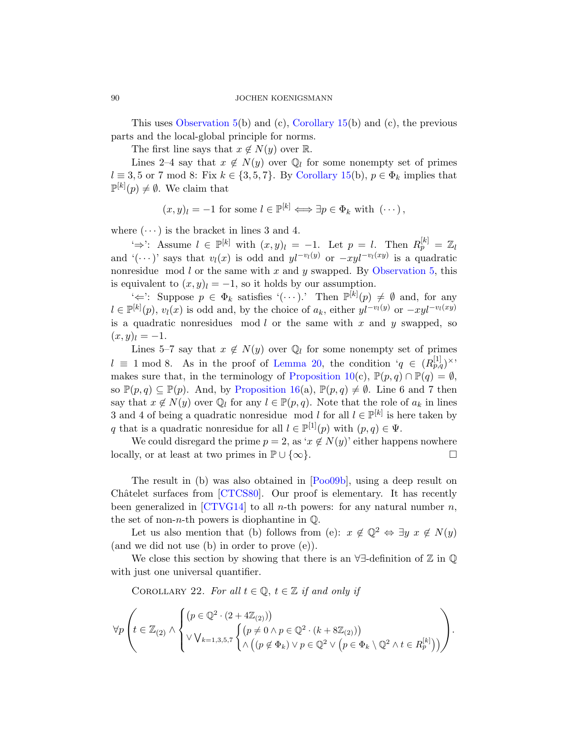This uses Observation 5(b) and (c), Corollary 15(b) and (c), the previous parts and the local-global principle for norms.

The first line says that  $x \notin N(y)$  over R.

Lines 2–4 say that  $x \notin N(y)$  over  $\mathbb{Q}_l$  for some nonempty set of primes  $l \equiv 3, 5 \text{ or } 7 \pmod{8}$ : Fix  $k \in \{3, 5, 7\}$ . By Corollary 15(b),  $p \in \Phi_k$  implies that  $\mathbb{P}^{[k]}(p) \neq \emptyset$ . We claim that

$$
(x, y)_l = -1
$$
 for some  $l \in \mathbb{P}^{[k]} \iff \exists p \in \Phi_k$  with  $(\cdots)$ ,

where  $(\cdots)$  is the bracket in lines 3 and 4.

'⇒': Assume  $l \in \mathbb{P}^{[k]}$  with  $(x, y)_l = -1$ . Let  $p = l$ . Then  $R_p^{[k]} = \mathbb{Z}_l$ and '(···)' says that  $v_l(x)$  is odd and  $yl^{-v_l(y)}$  or  $-xyl^{-v_l(xy)}$  is a quadratic nonresidue mod  $l$  or the same with  $x$  and  $y$  swapped. By Observation 5, this is equivalent to  $(x, y)_l = -1$ , so it holds by our assumption.

 $\iff$ : Suppose  $p \in \Phi_k$  [sati](#page-7-0)sfies  $\cdot(\cdots)$ . Then  $\mathbb{P}^{[k]}(p) \neq \emptyset$  and, for any  $l \in \mathbb{P}^{[k]}(p)$ ,  $v_l(x)$  is odd and, by the choice of  $a_k$ , either  $yl^{-v_l(y)}$  or  $-xyl^{-v_l(xy)}$ is a quadratic nonresidues mod  $l$  or the same with  $x$  and  $y$  swapped, so  $(x, y)_l = -1.$ 

Lines 5–7 say that  $x \notin N(y)$  over  $\mathbb{Q}_l$  for some nonempty set of primes  $l \equiv 1 \mod 8$ . As in the proof of Lemma 20, the condition ' $q \in (R_{p,q}^{[1]})^{\times}$ makes sure that, in the terminology of Proposition 10(c),  $\mathbb{P}(p,q) \cap \mathbb{P}(q) = \emptyset$ , so  $\mathbb{P}(p,q) \subseteq \mathbb{P}(p)$ . And, by Proposition 16(a),  $\mathbb{P}(p,q) \neq \emptyset$ . Line 6 and 7 then say that  $x \notin N(y)$  over  $\mathbb{Q}_l$  [for](#page-20-3) any  $l \in \mathbb{P}(p,q)$ . Note that the role of  $a_k$  in lines 3 [and 4 of](#page-20-4) being a quadratic nonresidue mod l for all  $l \in \mathbb{P}^{[k]}$  is here taken by q [that i](#page-20-5)s a quadratic nonresidue for all  $l \in \mathbb{P}^{[1]}(p)$  with  $(p, q) \in \Psi$ .

We could disregard the prime  $p = 2$ , as ' $x \notin N(y)$ ' either happens nowhere locally, or at least at two primes in  $\mathbb{P} \cup \{\infty\}.$ 

<span id="page-17-0"></span>The result in (b) was also obtained in [Poo09b], using a deep result on Châtelet surfaces from [CTCS80]. Our proof is elementary. It has recently been generalized in [CTVG14] to all *n*-th powers: for any natural number *n*, the set of non-*n*-th powers is diophantine in  $\mathbb{Q}$ .

Let us also mention that (b) follows from (e):  $x \notin \mathbb{Q}^2 \Leftrightarrow \exists y \ x \notin N(y)$ (and we did not use (b) in order to prove (e)).

We close this section by showing that there is an ∀∃-definition of Z in Q with just one universal quantifier.

COROLLARY 22. For all  $t \in \mathbb{Q}$ ,  $t \in \mathbb{Z}$  if and only if

$$
\forall p \left( t \in \mathbb{Z}_{(2)} \land \begin{cases} \left( p \in \mathbb{Q}^2 \cdot (2 + 4\mathbb{Z}_{(2)}) \right) & \text{if } p \in \mathbb{Q}^2 \cdot (k + 8\mathbb{Z}_{(2)}) \right) \\ \lor \bigvee_{k=1,3,5,7} \begin{cases} \left( p \neq 0 \land p \in \mathbb{Q}^2 \cdot (k + 8\mathbb{Z}_{(2)}) \right) & \text{if } p \in \mathbb{Q}^2 \lor \left( p \in \Phi_k \setminus \mathbb{Q}^2 \land t \in R_p^{[k]} \right) \end{cases} \right).
$$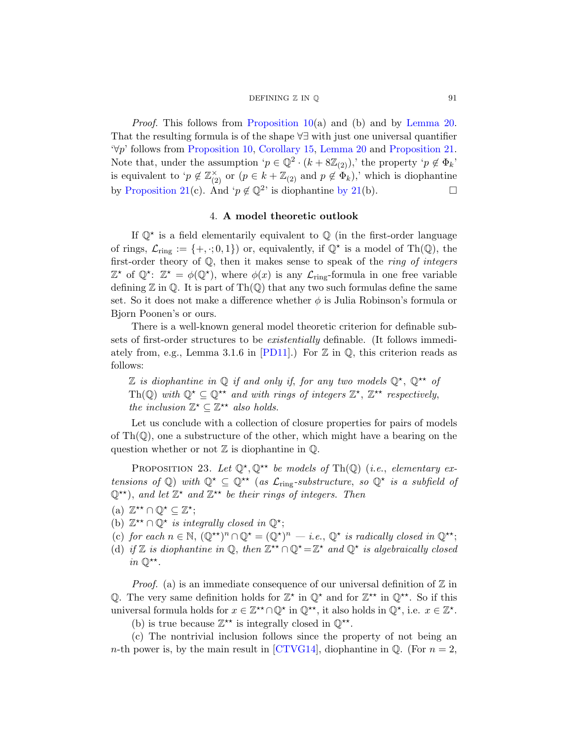#### DEFINING  $\mathbb Z$  IN  $\mathbb Q$  91

Proof. This follows from Proposition 10(a) and (b) and by Lemma 20. That the resulting formula is of the shape ∀∃ with just one universal quantifier '∀p' follows from Proposition 10, Corollary 15, Lemma 20 and Proposition 21. Note that, under the assumption ' $p \in \mathbb{Q}^2 \cdot (k + 8\mathbb{Z}_{(2)})$ ,' the property ' $p \notin \Phi_k$ ' is equivalent to ' $p \notin \mathbb{Z}_{(2)}^{\times}$  or  $(p \in k + \mathbb{Z}_{(2)}$  and  $p \notin \Phi_k$ ),' which is diophantine by Proposition 21(c). And ' $p \notin \mathbb{Q}^2$ ' is diophantine by 21(b).

## 4. A model theoretic outlook

If  $\mathbb{Q}^*$  is a field elementarily equivalent to  $\mathbb{Q}$  (in the first-order language of rings,  $\mathcal{L}_{ring} := \{+, \cdot; 0, 1\}$  or, equivalently, if  $\mathbb{Q}^{\star}$  is a model of Th $(\mathbb{Q})$ , the first-order theory of  $Q$ , then it makes sense to speak of the *ring of integers*  $\mathbb{Z}^*$  $\mathbb{Z}^*$  $\mathbb{Z}^*$  of  $\mathbb{Q}^*$ :  $\mathbb{Z}^* = \phi(\mathbb{Q}^*)$ , where  $\phi(x)$  is any  $\mathcal{L}_{\text{ring}}$ -formula in one free variable defining  $\mathbb Z$  in  $\mathbb Q$ . It is part of Th $(\mathbb Q)$  that any two such formulas define the same set. So it does not make a difference whether  $\phi$  is Julia Robinson's formula or Bjorn Poonen's or ours.

There is a well-known general model theoretic criterion for definable subsets of first-order structures to be existentially definable. (It follows immediately from, e.g., Lemma 3.1.6 in [PD11].) For  $\mathbb Z$  in  $\mathbb Q$ , this criterion reads as follows:

Z is diophantine in  $\mathbb Q$  if and only if, for any two models  $\mathbb Q^*$ ,  $\mathbb Q^{**}$  of Th(Q) with  $\mathbb{Q}^{\star} \subseteq \mathbb{Q}^{\star\star}$  and with rings of integers  $\mathbb{Z}^{\star}$ ,  $\mathbb{Z}^{\star\star}$  respectively, the inclusion  $\mathbb{Z}^{\star} \subseteq \mathbb{Z}^{\star\star}$  also holds.

<span id="page-18-0"></span>Let us conclude with a collection of closure properties for pairs of models of  $\text{Th}(\mathbb{Q})$ , one a substructure of the other, which might have a bearing on the question whether or not  $\mathbb Z$  is diophantine in  $\mathbb Q$ .

PROPOSITION 23. Let  $\mathbb{Q}^{\star}, \mathbb{Q}^{\star\star}$  be models of Th(Q) (i.e., elementary extensions of Q) with  $\mathbb{Q}^{\star} \subseteq \mathbb{Q}^{\star\star}$  (as  $\mathcal{L}_{\text{ring}}$ -substructure, so  $\mathbb{Q}^{\star}$  is a subfield of  $\mathbb{Q}^{\star\star}$ ), and let  $\mathbb{Z}^{\star}$  and  $\mathbb{Z}^{\star\star}$  be their rings of integers. Then

- (a)  $\mathbb{Z}^{\star\star} \cap \mathbb{Q}^{\star} \subseteq \mathbb{Z}^{\star};$
- (b)  $\mathbb{Z}^{\star\star} \cap \mathbb{Q}^{\star}$  is integrally closed in  $\mathbb{Q}^{\star}$ ;
- (c) for each  $n \in \mathbb{N}$ ,  $(\mathbb{Q}^{**})^n \cap \mathbb{Q}^* = (\mathbb{Q}^*)^n \quad i.e., \mathbb{Q}^*$  is radically closed in  $\mathbb{Q}^{**}$ ;
- (d) if Z is diophantine in  $\mathbb{Q}$ , then  $\mathbb{Z}^{\star}\cap\mathbb{Q}^{\star}=\mathbb{Z}^{\star}$  and  $\mathbb{Q}^{\star}$  is algebraically closed  $in \mathbb{Q}^{\star\star}.$

*Proof.* (a) is an immediate consequence of our universal definition of  $\mathbb{Z}$  in Q. The very same definition holds for  $\mathbb{Z}^*$  in  $\mathbb{Q}^*$  and for  $\mathbb{Z}^{**}$  in  $\mathbb{Q}^{**}$ . So if this universal formula holds for  $x \in \mathbb{Z}^{\star} \cap \mathbb{Q}^{\star}$  in  $\mathbb{Q}^{\star\star}$ , it also holds in  $\mathbb{Q}^{\star}$ , i.e.  $x \in \mathbb{Z}^{\star}$ . (b) is true because  $\mathbb{Z}^{\star\star}$  is integrally closed in  $\mathbb{Q}^{\star\star}$ .

(c) The nontrivial inclusion follows since the property of not being an *n*-th power is, by the main result in [CTVG14], diophantine in  $\mathbb{Q}$ . (For  $n = 2$ ,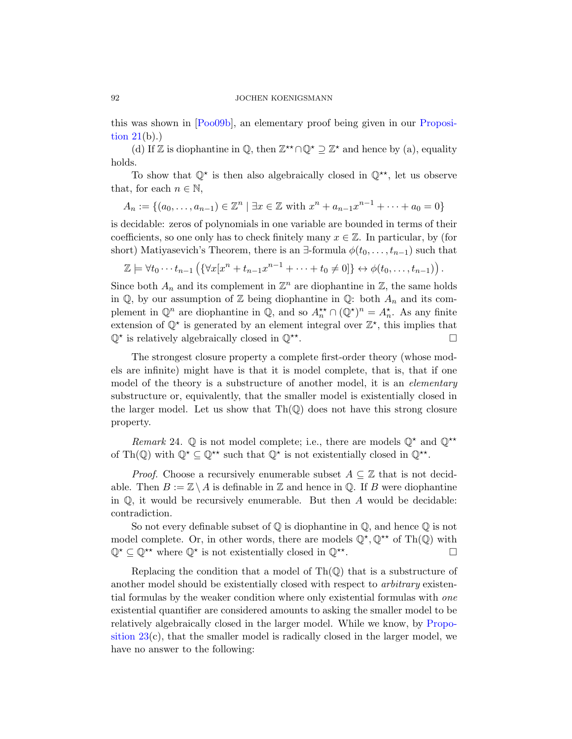#### 92 JOCHEN KOENIGSMANN

this was shown in [Poo09b], an elementary proof being given in our Proposition  $21(b)$ .)

(d) If Z is diophantine in  $\mathbb{Q}$ , then  $\mathbb{Z}^{\star}\cap\mathbb{Q}^{\star}\supseteq\mathbb{Z}^{\star}$  and hence by (a), equality holds.

To show that  $\mathbb{Q}^*$  is then also algebraically closed in  $\mathbb{Q}^{**}$ , let us observe that, for each  $n \in \mathbb{N}$ ,

$$
A_n := \{(a_0, \ldots, a_{n-1}) \in \mathbb{Z}^n \mid \exists x \in \mathbb{Z} \text{ with } x^n + a_{n-1}x^{n-1} + \cdots + a_0 = 0\}
$$

is decidable: zeros of polynomials in one variable are bounded in terms of their coefficients, so one only has to check finitely many  $x \in \mathbb{Z}$ . In particular, by (for short) Matiyasevich's Theorem, there is an  $\exists$ -formula  $\phi(t_0, \ldots, t_{n-1})$  such that

$$
\mathbb{Z} \models \forall t_0 \cdots t_{n-1} \left( \{ \forall x [x^n + t_{n-1} x^{n-1} + \cdots + t_0 \neq 0] \} \leftrightarrow \phi(t_0, \ldots, t_{n-1}) \right).
$$

Since both  $A_n$  and its complement in  $\mathbb{Z}^n$  are diophantine in  $\mathbb{Z}$ , the same holds in  $\mathbb{Q}$ , by our assumption of  $\mathbb{Z}$  being diophantine in  $\mathbb{Q}$ : both  $A_n$  and its complement in  $\mathbb{Q}^n$  are diophantine in  $\mathbb{Q}$ , and so  $A_n^{\star\star} \cap (\mathbb{Q}^{\star})^n = A_n^{\star}$ . As any finite extension of  $\mathbb{Q}^*$  is generated by an element integral over  $\mathbb{Z}^*$ , this implies that  $\mathbb{Q}^*$  is relatively algebraically closed in  $\mathbb{Q}^{**}$ .

The strongest closure property a complete first-order theory (whose models are infinite) might have is that it is model complete, that is, that if one model of the theory is a substructure of another model, it is an *elementary* substructure or, equivalently, that the smaller model is existentially closed in the larger model. Let us show that  $\text{Th}(\mathbb{Q})$  does not have this strong closure property.

Remark 24.  $\mathbb Q$  is not model complete; i.e., there are models  $\mathbb Q^*$  and  $\mathbb Q^{**}$ of Th(Q) with  $\mathbb{Q}^{\star} \subseteq \mathbb{Q}^{\star\star}$  such that  $\mathbb{Q}^{\star}$  is not existentially closed in  $\mathbb{Q}^{\star\star}$ .

*Proof.* Choose a recursively enumerable subset  $A \subseteq \mathbb{Z}$  that is not decidable. Then  $B := \mathbb{Z} \setminus A$  is definable in  $\mathbb Z$  and hence in  $\mathbb Q$ . If B were diophantine in  $\mathbb{Q}$ , it would be recursively enumerable. But then A would be decidable: contradiction.

So not every definable subset of  $\mathbb Q$  is diophantine in  $\mathbb Q$ , and hence  $\mathbb Q$  is not model complete. Or, in other words, there are [models](#page-18-0)  $\mathbb{Q}^{\star}, \mathbb{Q}^{\star\star}$  of Th $(\mathbb{Q})$  with  $\mathbb{Q}^{\star} \subseteq \mathbb{Q}^{\star\star}$  where  $\mathbb{Q}^{\star}$  is not existentially closed in  $\mathbb{Q}^{\star\star}$ .

Replacing the condition that a model of  $\text{Th}(\mathbb{Q})$  that is a substructure of another model should be existentially closed with respect to arbitrary existential formulas by the weaker condition where only existential formulas with one existential quantifier are considered amounts to asking the smaller model to be relatively algebraically closed in the larger model. While we know, by Proposition  $23(c)$ , that the smaller model is radically closed in the larger model, we have no answer to the following: